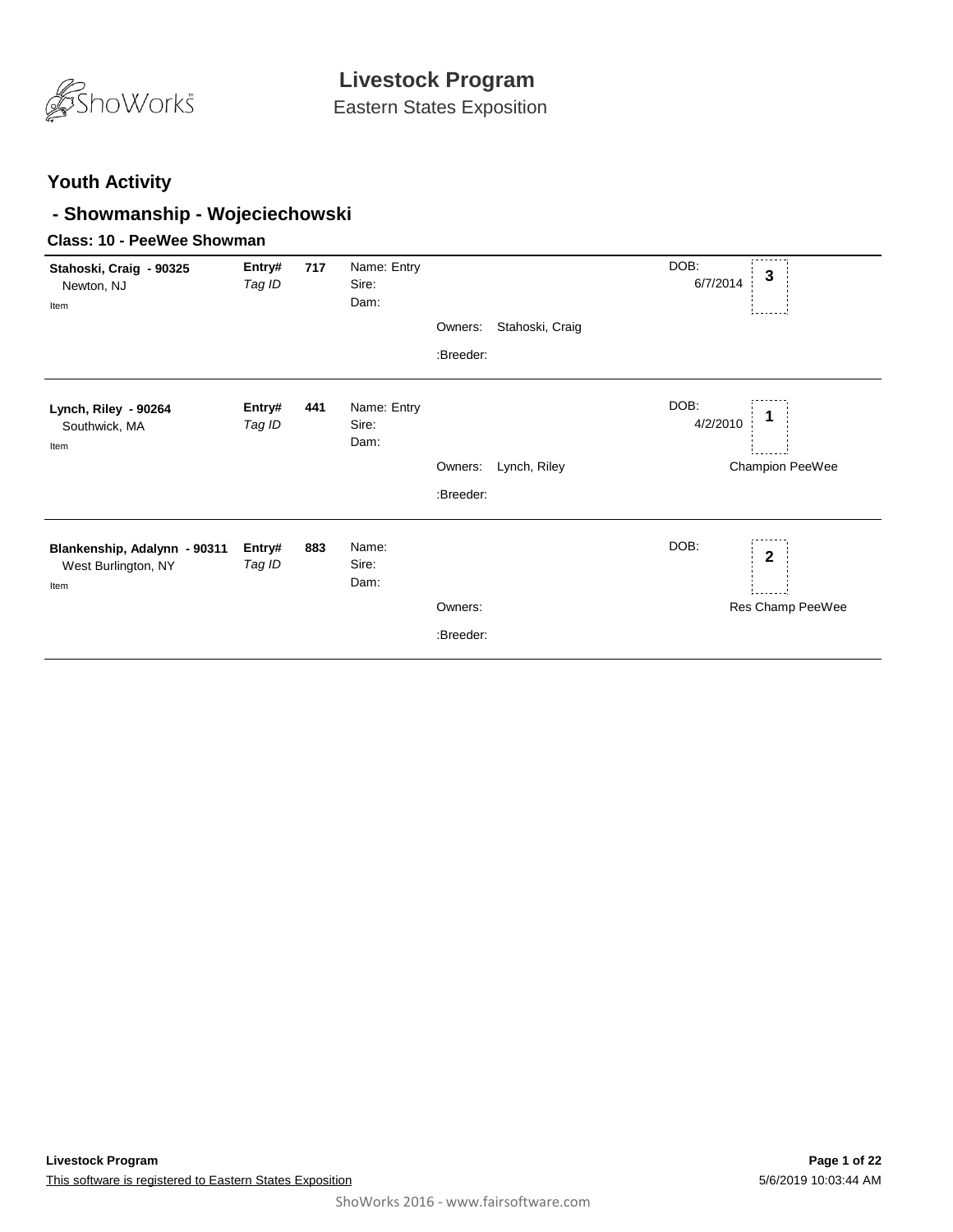

Eastern States Exposition

### **Youth Activity**

### **- Showmanship - Wojeciechowski**

### **Class: 10 - PeeWee Showman**

| Stahoski, Craig - 90325<br>Newton, NJ<br>Item               | Entry#<br>Tag ID | 717 | Name: Entry<br>Sire:<br>Dam: |                      |                 | DOB:<br>3<br>6/7/2014                    |
|-------------------------------------------------------------|------------------|-----|------------------------------|----------------------|-----------------|------------------------------------------|
|                                                             |                  |     |                              | Owners:              | Stahoski, Craig |                                          |
|                                                             |                  |     |                              | :Breeder:            |                 |                                          |
| Lynch, Riley - 90264<br>Southwick, MA<br>Item               | Entry#<br>Tag ID | 441 | Name: Entry<br>Sire:<br>Dam: |                      |                 | DOB:<br>4/2/2010                         |
|                                                             |                  |     |                              | Owners:              | Lynch, Riley    | Champion PeeWee                          |
|                                                             |                  |     |                              | :Breeder:            |                 |                                          |
| Blankenship, Adalynn - 90311<br>West Burlington, NY<br>Item | Entry#<br>Tag ID | 883 | Name:<br>Sire:<br>Dam:       | Owners:<br>:Breeder: |                 | DOB:<br>$\mathbf{2}$<br>Res Champ PeeWee |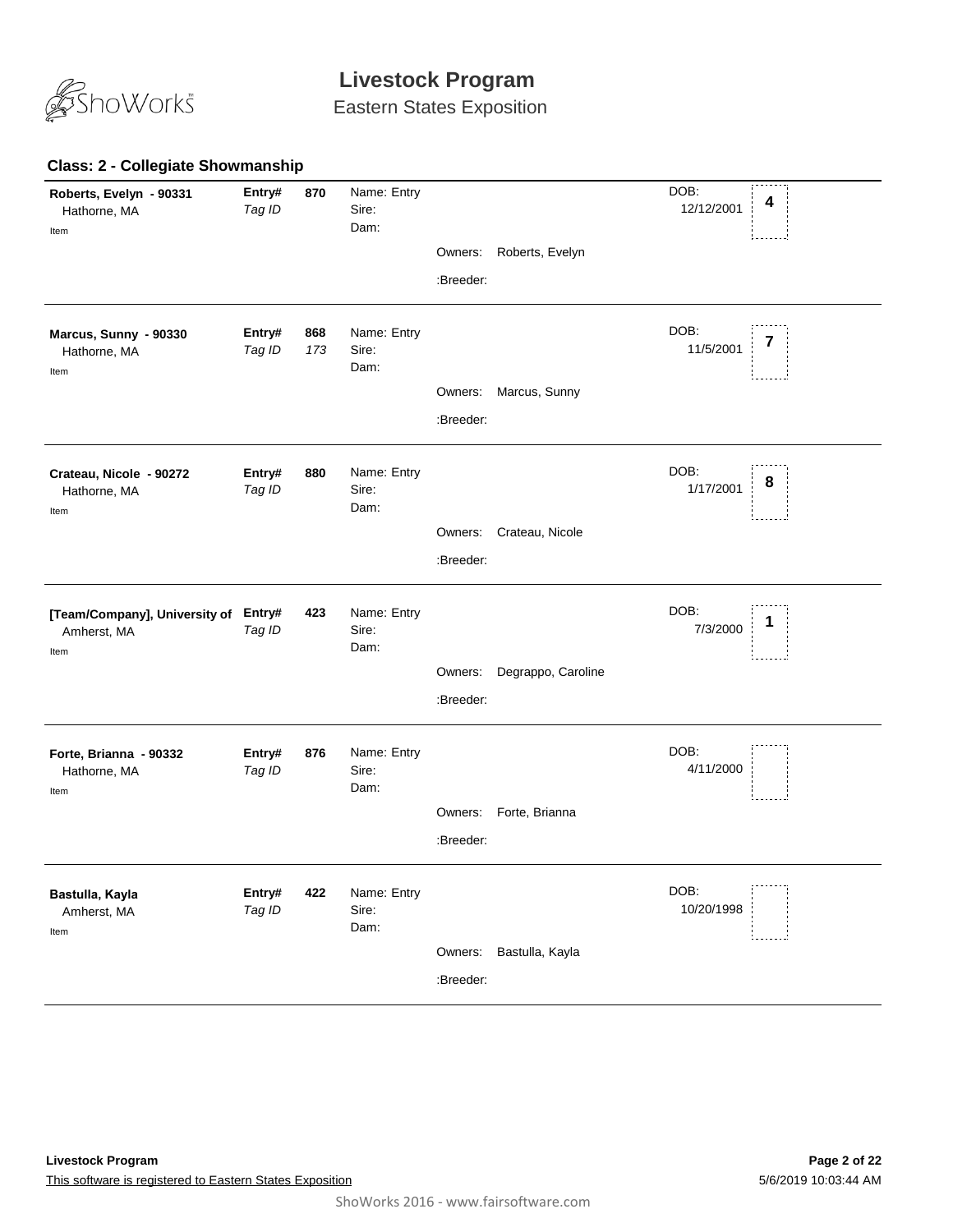

Eastern States Exposition

#### **870** *Tag ID* Name: Entry Sire: DOB: 12/12/2001 Dam: **Roberts, Evelyn - 90331** Hathorne, MA **Entry# 870** Name: Entry<br>Tag ID Sire: Sire: Sire: 12/12/2001 4 Item Owners: Roberts, Evelyn :Breeder: **868** *Tag ID 173* Name: Entry Sire: DOB: 11/5/2001 Dam: **Marcus, Sunny - 90330** Hathorne, MA **Entry# 868** Name: Entry<br>Tag ID 173 Sire: The Magnetic Structure of the 11/5/2001 7 Item Owners: Marcus, Sunny :Breeder: **880** *Tag ID* Name: Entry Sire: DOB: 1/17/2001 Dam: **Crateau, Nicole - 90272** Hathorne, MA **Entry# 880** Name: Entry<br>Tag ID Sire: Sire: Sire: Name and Sire: Name and Sire: Name and Sire: Name and Sire: Name and Sire: Name and S Item Owners: Crateau, Nicole :Breeder: **423** *Tag ID* Name: Entry Sire: DOB: 7/3/2000 Dam: **[Team/Company], University of**  Amherst, MA **Entry# 423** Name: Entry<br>Tag ID Sire: Sire: Sire: The Sire of the Sire of the Sire of the Sire of the Sire of the Sire of the Sire of t<br>Tag ID Sire: Sire: Sire: Sire: Sire of the Sire of the Sire of the Sire of the Sire of Item Owners: Degrappo, Caroline :Breeder: **876** *Tag ID* Name: Entry Sire: DOB: 4/11/2000 Dam: **Forte, Brianna - 90332** Hathorne, MA **Entry#** Item Owners: Forte, Brianna :Breeder: **422** *Tag ID* Name: Entry Sire: DOB: 10/20/1998 Dam: **Bastulla, Kayla** Amherst, MA **Entry#** Item Owners: Bastulla, Kayla :Breeder:

#### **Class: 2 - Collegiate Showmanship**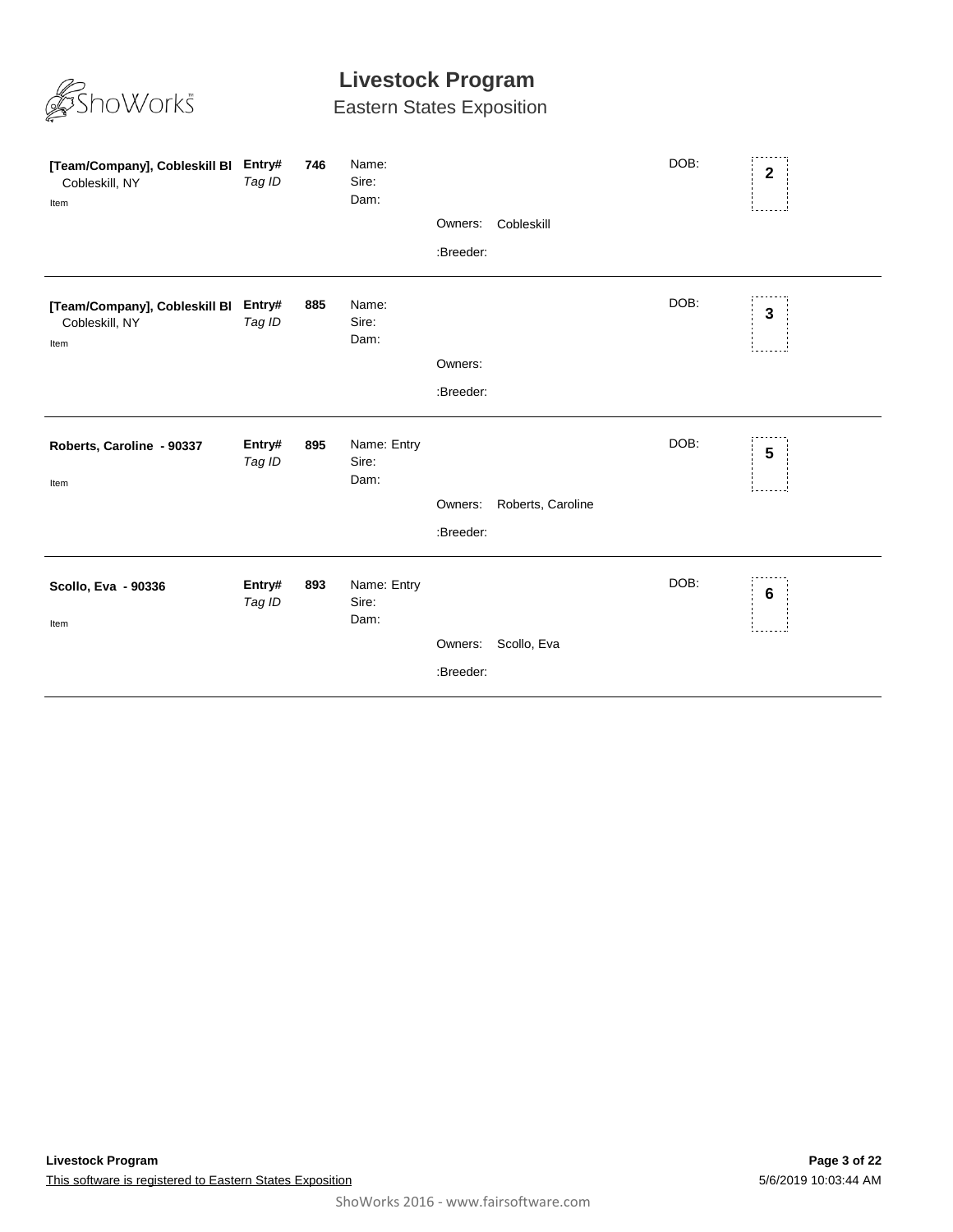

| [Team/Company], Cobleskill BI<br>Cobleskill, NY<br>Item | Entry#<br>Tag ID | 746 | Name:<br>Sire:<br>Dam:       | Owners:<br>:Breeder: | Cobleskill        | DOB: | $\mathbf{2}$    |
|---------------------------------------------------------|------------------|-----|------------------------------|----------------------|-------------------|------|-----------------|
| [Team/Company], Cobleskill BI<br>Cobleskill, NY<br>Item | Entry#<br>Tag ID | 885 | Name:<br>Sire:<br>Dam:       | Owners:<br>:Breeder: |                   | DOB: | 3               |
| Roberts, Caroline - 90337<br>Item                       | Entry#<br>Tag ID | 895 | Name: Entry<br>Sire:<br>Dam: | Owners:<br>:Breeder: | Roberts, Caroline | DOB: | $5\phantom{.0}$ |
| Scollo, Eva - 90336<br>Item                             | Entry#<br>Tag ID | 893 | Name: Entry<br>Sire:<br>Dam: | Owners:<br>:Breeder: | Scollo, Eva       | DOB: | 6               |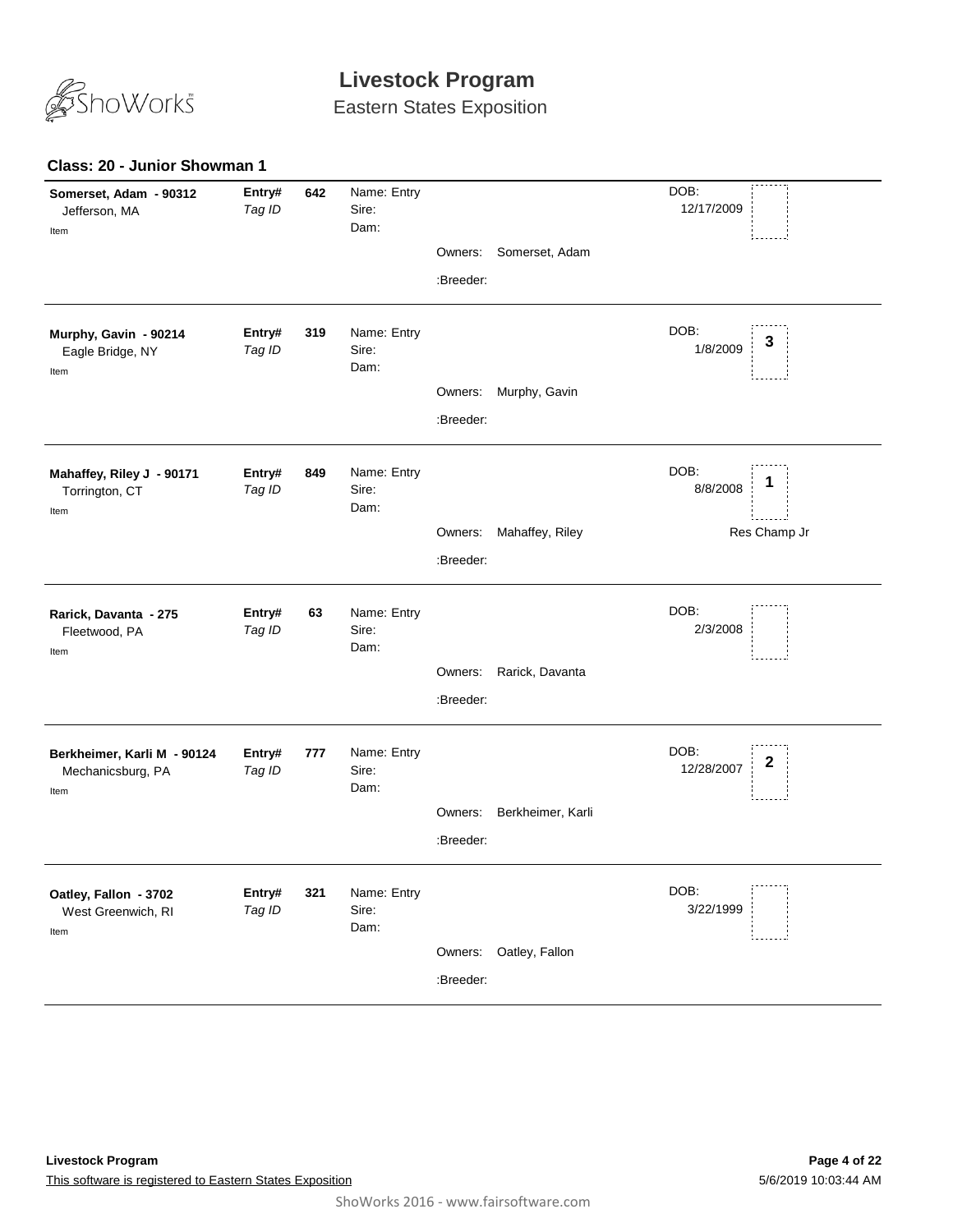

Eastern States Exposition

### **Class: 20 - Junior Showman 1**

| Somerset, Adam - 90312<br>Jefferson, MA<br>Item          | Entry#<br>Tag ID | 642 | Name: Entry<br>Sire:<br>Dam: |           |                        | DOB:<br>12/17/2009                |
|----------------------------------------------------------|------------------|-----|------------------------------|-----------|------------------------|-----------------------------------|
|                                                          |                  |     |                              |           | Owners: Somerset, Adam |                                   |
|                                                          |                  |     |                              | :Breeder: |                        |                                   |
| Murphy, Gavin - 90214<br>Eagle Bridge, NY<br>Item        | Entry#<br>Tag ID | 319 | Name: Entry<br>Sire:<br>Dam: |           |                        | DOB:<br>3<br>1/8/2009             |
|                                                          |                  |     |                              | Owners:   | Murphy, Gavin          |                                   |
|                                                          |                  |     |                              | :Breeder: |                        |                                   |
| Mahaffey, Riley J - 90171<br>Torrington, CT<br>Item      | Entry#<br>Tag ID | 849 | Name: Entry<br>Sire:<br>Dam: |           |                        | DOB:<br>1<br>8/8/2008             |
|                                                          |                  |     |                              | Owners:   | Mahaffey, Riley        | Res Champ Jr                      |
|                                                          |                  |     |                              | :Breeder: |                        |                                   |
| Rarick, Davanta - 275<br>Fleetwood, PA<br>Item           | Entry#<br>Tag ID | 63  | Name: Entry<br>Sire:<br>Dam: |           |                        | DOB:<br>2/3/2008                  |
|                                                          |                  |     |                              | Owners:   | Rarick, Davanta        |                                   |
|                                                          |                  |     |                              | :Breeder: |                        |                                   |
| Berkheimer, Karli M - 90124<br>Mechanicsburg, PA<br>Item | Entry#<br>Tag ID | 777 | Name: Entry<br>Sire:<br>Dam: |           |                        | DOB:<br>$\mathbf 2$<br>12/28/2007 |
|                                                          |                  |     |                              | Owners:   | Berkheimer, Karli      |                                   |
|                                                          |                  |     |                              | :Breeder: |                        |                                   |
| Oatley, Fallon - 3702<br>West Greenwich, RI<br>Item      | Entry#<br>Tag ID | 321 | Name: Entry<br>Sire:<br>Dam: |           |                        | DOB:<br>3/22/1999                 |
|                                                          |                  |     |                              | Owners:   | Oatley, Fallon         |                                   |
|                                                          |                  |     |                              | :Breeder: |                        |                                   |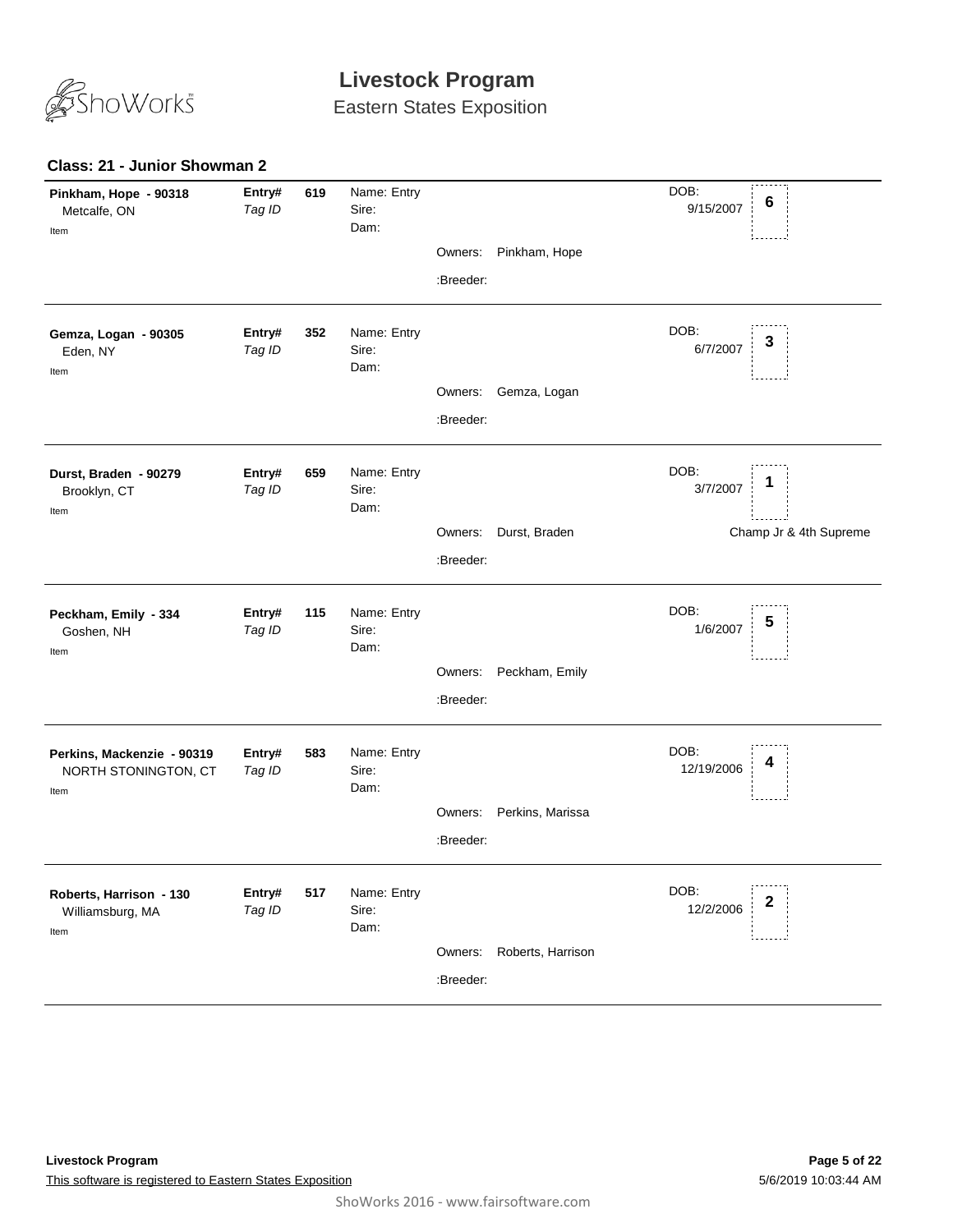

Eastern States Exposition

### **Class: 21 - Junior Showman 2**

| Pinkham, Hope - 90318<br>Metcalfe, ON<br>Item              | Entry#<br>Tag ID | 619 | Name: Entry<br>Sire:<br>Dam: | Owners:<br>:Breeder: | Pinkham, Hope     | DOB:<br>6<br>9/15/2007                          |
|------------------------------------------------------------|------------------|-----|------------------------------|----------------------|-------------------|-------------------------------------------------|
| Gemza, Logan - 90305<br>Eden, NY<br>Item                   | Entry#<br>Tag ID | 352 | Name: Entry<br>Sire:<br>Dam: | Owners:<br>:Breeder: | Gemza, Logan      | DOB:<br>3<br>6/7/2007                           |
| Durst, Braden - 90279<br>Brooklyn, CT<br>Item              | Entry#<br>Tag ID | 659 | Name: Entry<br>Sire:<br>Dam: | Owners:<br>:Breeder: | Durst, Braden     | DOB:<br>1<br>3/7/2007<br>Champ Jr & 4th Supreme |
| Peckham, Emily - 334<br>Goshen, NH<br>Item                 | Entry#<br>Tag ID | 115 | Name: Entry<br>Sire:<br>Dam: | Owners:<br>:Breeder: | Peckham, Emily    | DOB:<br>5<br>1/6/2007                           |
| Perkins, Mackenzie - 90319<br>NORTH STONINGTON, CT<br>Item | Entry#<br>Tag ID | 583 | Name: Entry<br>Sire:<br>Dam: | Owners:<br>:Breeder: | Perkins, Marissa  | DOB:<br>12/19/2006                              |
| Roberts, Harrison - 130<br>Williamsburg, MA<br>Item        | Entry#<br>Tag ID | 517 | Name: Entry<br>Sire:<br>Dam: | Owners:<br>:Breeder: | Roberts, Harrison | DOB:<br>2<br>12/2/2006                          |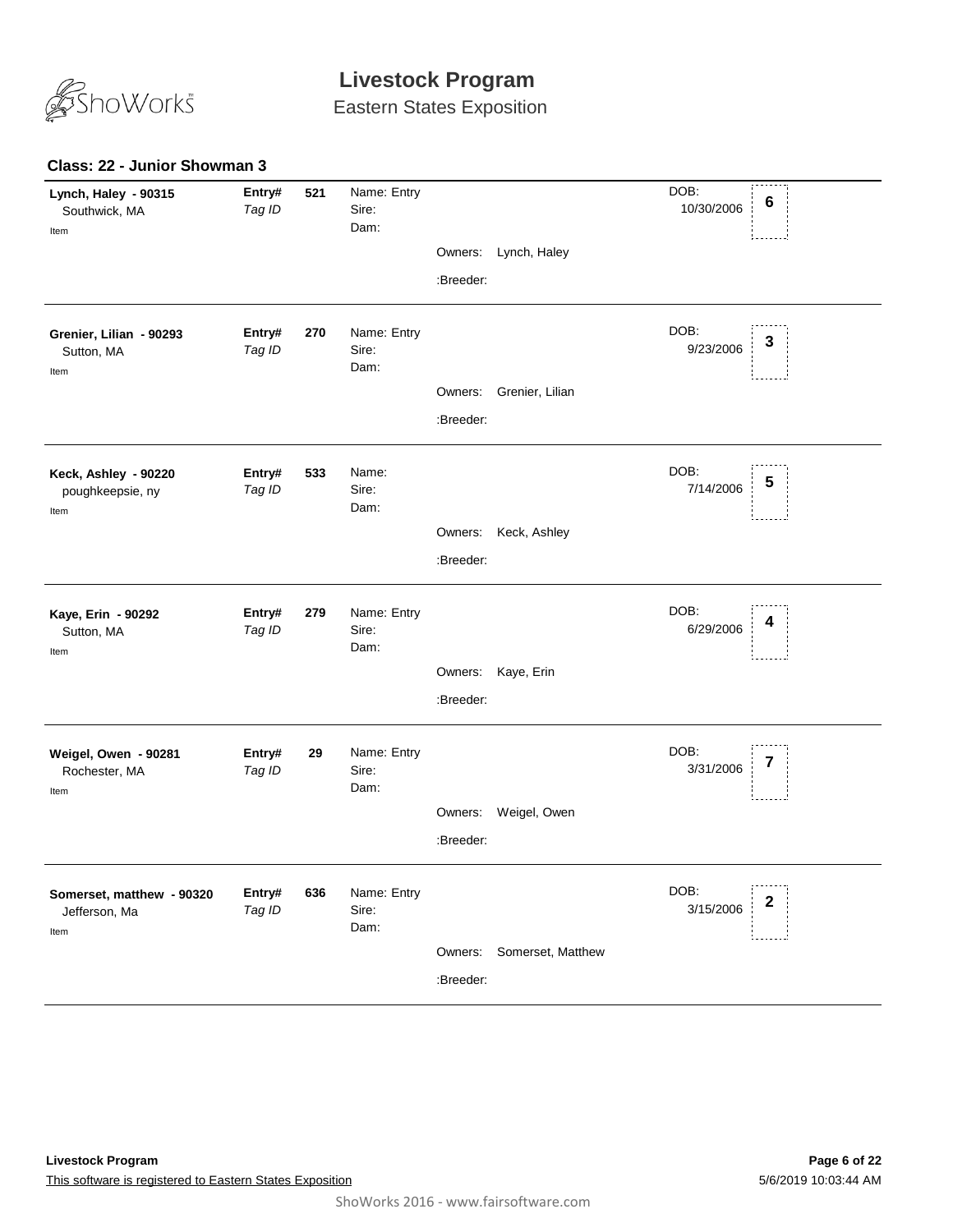

Eastern States Exposition

### **Class: 22 - Junior Showman 3**

| Lynch, Haley - 90315<br>Southwick, MA<br>Item      | Entry#<br>Tag ID | 521 | Name: Entry<br>Sire:<br>Dam: |           |                   | DOB:<br>$6\phantom{1}6$<br>10/30/2006 |
|----------------------------------------------------|------------------|-----|------------------------------|-----------|-------------------|---------------------------------------|
|                                                    |                  |     |                              | Owners:   | Lynch, Haley      |                                       |
|                                                    |                  |     |                              | :Breeder: |                   |                                       |
| Grenier, Lilian - 90293<br>Sutton, MA<br>Item      | Entry#<br>Tag ID | 270 | Name: Entry<br>Sire:<br>Dam: |           |                   | DOB:<br>3<br>9/23/2006                |
|                                                    |                  |     |                              | Owners:   | Grenier, Lilian   |                                       |
|                                                    |                  |     |                              | :Breeder: |                   |                                       |
| Keck, Ashley - 90220<br>poughkeepsie, ny<br>Item   | Entry#<br>Tag ID | 533 | Name:<br>Sire:<br>Dam:       |           |                   | DOB:<br>5<br>7/14/2006                |
|                                                    |                  |     |                              | Owners:   | Keck, Ashley      |                                       |
|                                                    |                  |     |                              | :Breeder: |                   |                                       |
| Kaye, Erin - 90292<br>Sutton, MA<br>Item           | Entry#<br>Tag ID | 279 | Name: Entry<br>Sire:<br>Dam: |           |                   | DOB:<br>6/29/2006                     |
|                                                    |                  |     |                              | Owners:   | Kaye, Erin        |                                       |
|                                                    |                  |     |                              | :Breeder: |                   |                                       |
| Weigel, Owen - 90281<br>Rochester, MA<br>Item      | Entry#<br>Tag ID | 29  | Name: Entry<br>Sire:<br>Dam: |           |                   | DOB:<br>t<br>3/31/2006                |
|                                                    |                  |     |                              | Owners:   | Weigel, Owen      |                                       |
|                                                    |                  |     |                              | :Breeder: |                   |                                       |
| Somerset, matthew - 90320<br>Jefferson, Ma<br>Item | Entry#<br>Tag ID | 636 | Name: Entry<br>Sire:<br>Dam: |           |                   | DOB:<br>2<br>3/15/2006                |
|                                                    |                  |     |                              | Owners:   | Somerset, Matthew |                                       |
|                                                    |                  |     |                              | :Breeder: |                   |                                       |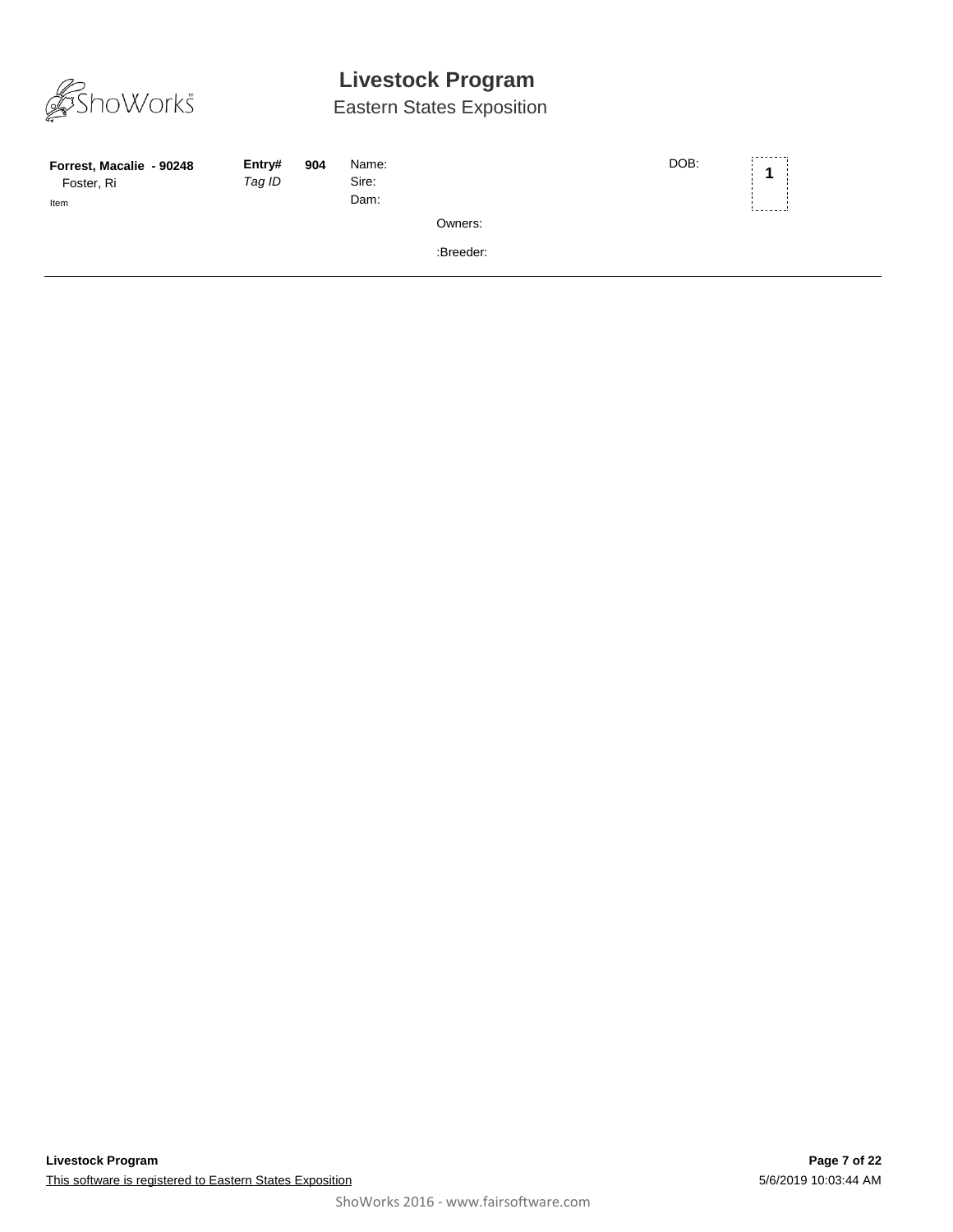

| Forrest, Macalie - 90248<br>Foster, Ri<br>Item | Entry#<br>Tag ID | 904 | Name:<br>Sire:<br>Dam: |           | DOB: | ---------<br>-------- |
|------------------------------------------------|------------------|-----|------------------------|-----------|------|-----------------------|
|                                                |                  |     |                        | Owners:   |      |                       |
|                                                |                  |     |                        | :Breeder: |      |                       |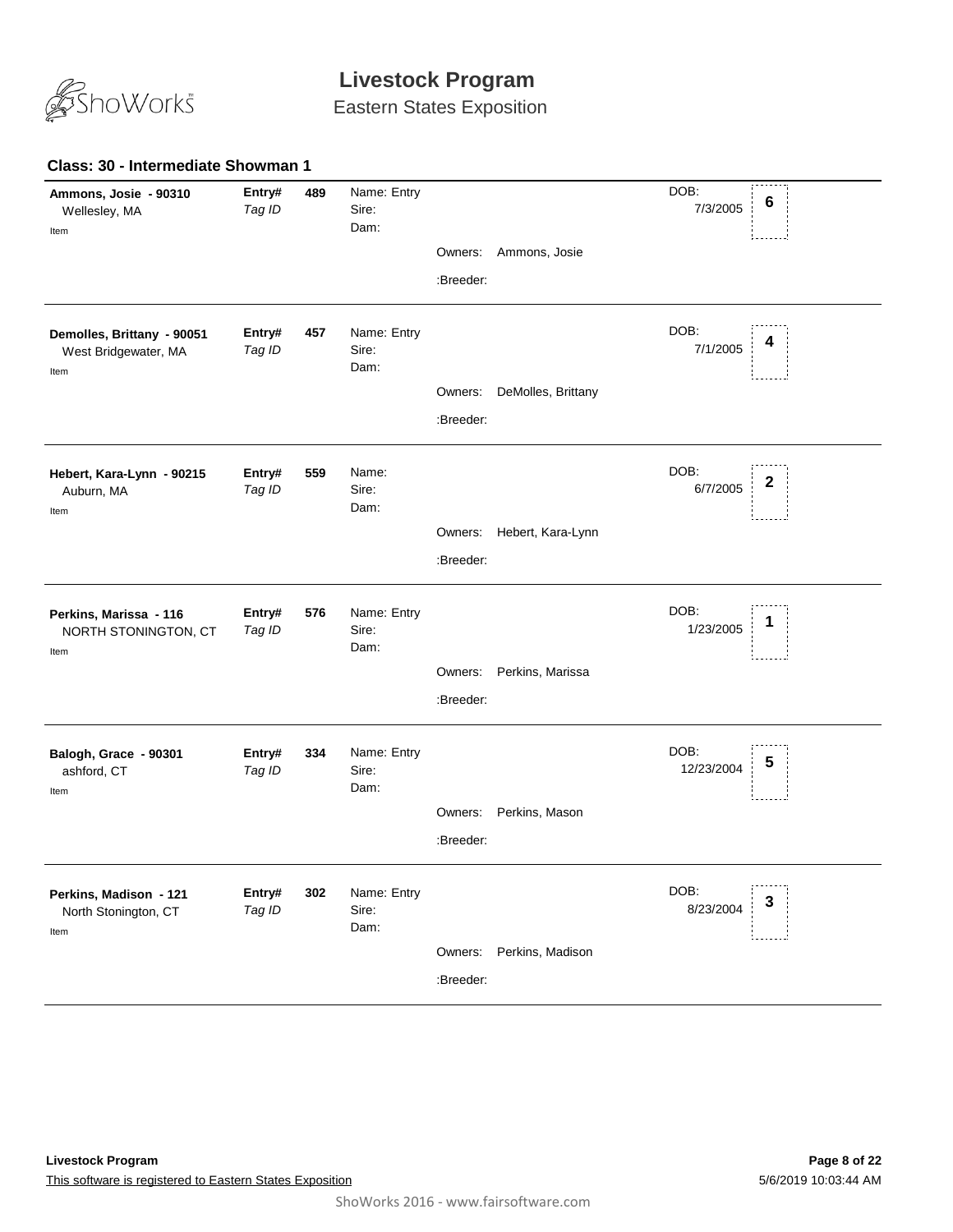

Eastern States Exposition

#### **489** *Tag ID* Name: Entry Sire: DOB: 7/3/2005 Dam: **Ammons, Josie - 90310** Wellesley, MA **Entry# <sup>6</sup>** Item Owners: Ammons, Josie :Breeder: **457** *Tag ID* Name: Entry Sire: DOB: 7/1/2005 Dam: **Demolles, Brittany - 90051** West Bridgewater, MA **Entry# <sup>4</sup>** Item Owners: DeMolles, Brittany :Breeder: **559** *Tag ID* Name: Sire: DOB: 6/7/2005 Dam: **Hebert, Kara-Lynn - 90215** Auburn, MA **Entry# <sup>2</sup>** Item Owners: Hebert, Kara-Lynn :Breeder: **576** *Tag ID* Name: Entry Sire: DOB: 1/23/2005 Dam: **Perkins, Marissa - 116** NORTH STONINGTON, CT **Entry# 576** Name: Entry<br>
Tag ID Sire: Sire: Sire: 1 Item Owners: Perkins, Marissa :Breeder: **334** *Tag ID* Name: Entry Sire: DOB: 12/23/2004 Dam: **Balogh, Grace - 90301** ashford, CT **Entry# 334** Name: Entry<br>Teg ID Sire: Sire: Sire: 12/23/2004 5 Item Owners: Perkins, Mason :Breeder: **302** *Tag ID* Name: Entry Sire: DOB: 8/23/2004 Dam: **Perkins, Madison - 121** North Stonington, CT **Entry# 302** Name: Entry<br>Teg ID Sire: Sire: Sire: Sire: Sire: Sire: Sire: Sire: Sire: Sire: Sire: Sire: Sire: Sire: Sire: Sire: Sire: S Item Owners: Perkins, Madison :Breeder:

### **Class: 30 - Intermediate Showman 1**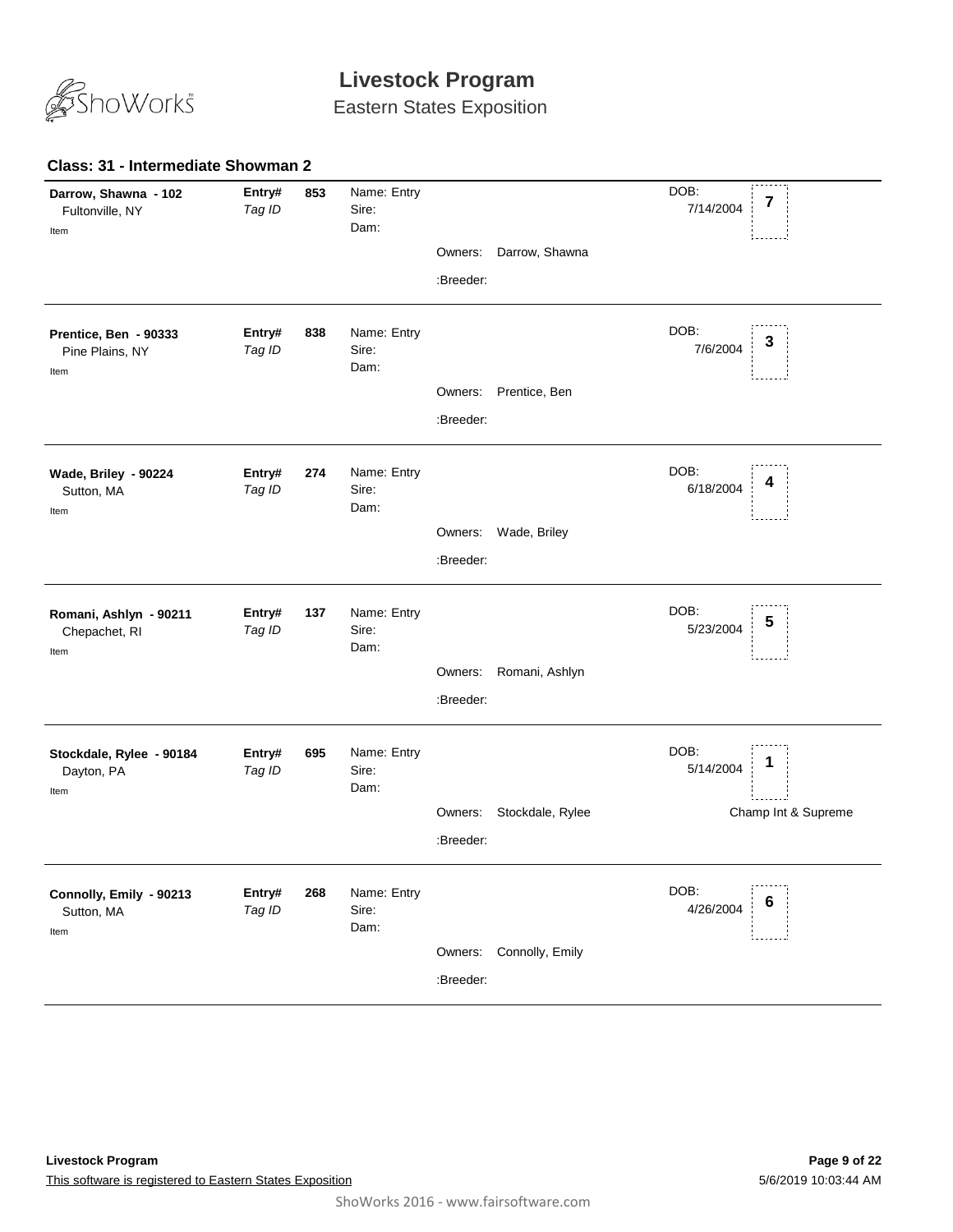

Eastern States Exposition

#### **853** *Tag ID* Name: Entry Sire: DOB: 7/14/2004 Dam: **Darrow, Shawna - 102** Fultonville, NY **Entry# 853** Name: Entry<br>Tag ID Sire: Sire: Sire: Tag ID 7/14/2004 7 Item Owners: Darrow, Shawna :Breeder: **838** *Tag ID* Name: Entry Sire: DOB: 7/6/2004 Dam: **Prentice, Ben - 90333** Pine Plains, NY **Entry# <sup>3</sup>** Item Owners: Prentice, Ben :Breeder: **274** *Tag ID* Name: Entry Sire: DOB: 6/18/2004 Dam: **Wade, Briley - 90224** Sutton, MA **Entry# 274** Name: Entry<br>Tag ID Sire: Sire: Sire: All Research Control of CAR/2004 4 Item Owners: Wade, Briley :Breeder: **137** *Tag ID* Name: Entry Sire: DOB: 5/23/2004 Dam: **Romani, Ashlyn - 90211** Chepachet, RI **Entry# 137** Name: Entry<br>Tag ID Sire: Sire: Sire: Sire: Sire: Sire: Sire: Sire: Sire: Sire: Sire: Sire: Sire: Sire: Sire: Sire: Sire: S Item Owners: Romani, Ashlyn :Breeder: **695** *Tag ID* Name: Entry Sire: DOB: 5/14/2004 Dam: **Stockdale, Rylee - 90184** Dayton, PA **Entry# 695** Name: Entry<br>Teg ID Sire: Sire: Sire: Teg ID S/14/2004 1 Champ Int & Supreme Item Owners: Stockdale, Rylee :Breeder: **268** *Tag ID* Name: Entry Sire: DOB: 4/26/2004 Dam: **Connolly, Emily - 90213** Sutton, MA **Entry# 268** Name: Entry<br>Teg ID Sire: Sire: Sire: 1/26/2004 6 Item Owners: Connolly, Emily :Breeder:

#### **Class: 31 - Intermediate Showman 2**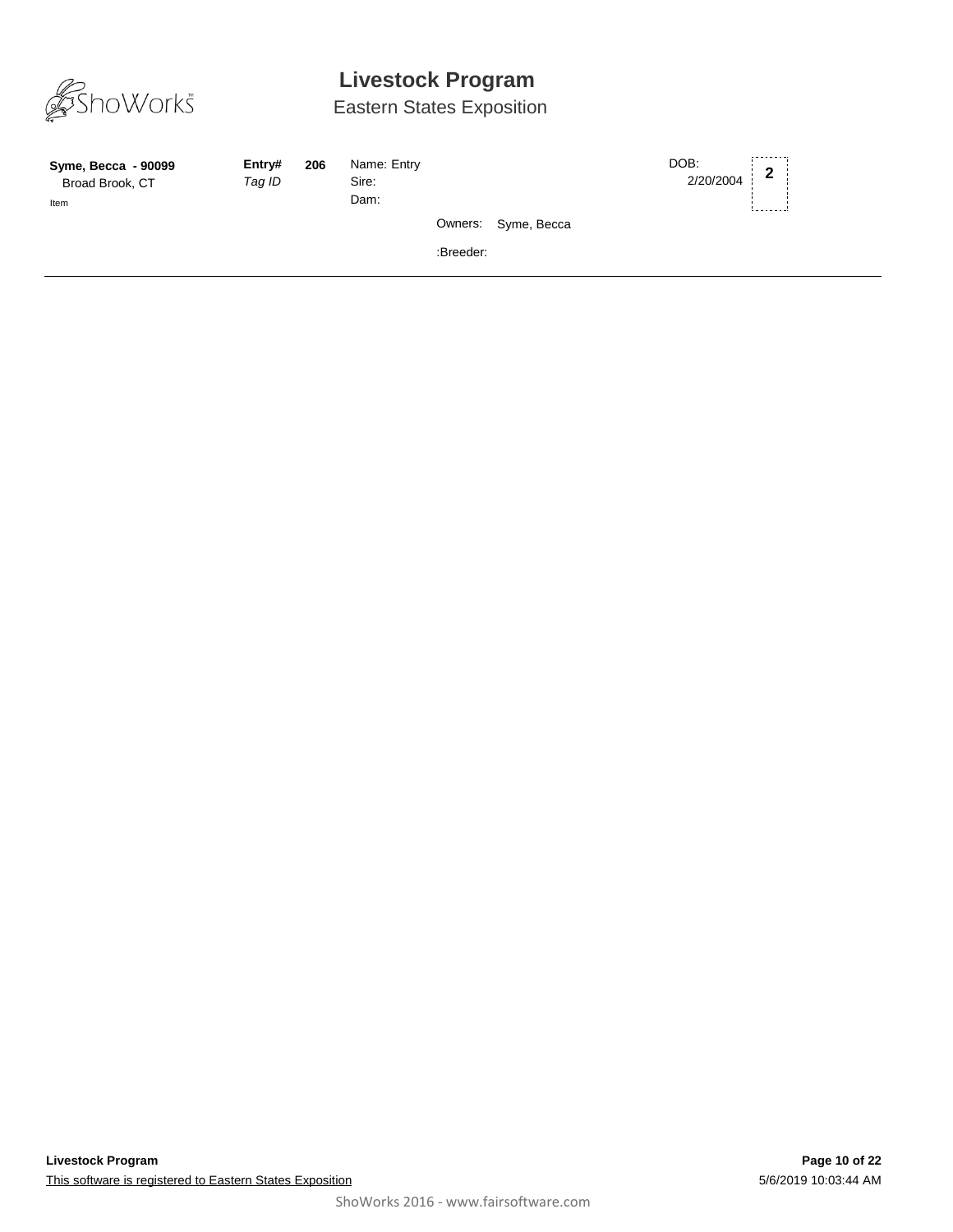

| Syme, Becca - 90099<br>Broad Brook, CT<br>Item | Entry#<br>Tag ID | 206 | Name: Entry<br>Sire:<br>Dam: |           |                     | DOB:<br>2/20/2004 | $\mathbf{2}$ |  |
|------------------------------------------------|------------------|-----|------------------------------|-----------|---------------------|-------------------|--------------|--|
|                                                |                  |     |                              |           | Owners: Syme, Becca |                   |              |  |
|                                                |                  |     |                              | :Breeder: |                     |                   |              |  |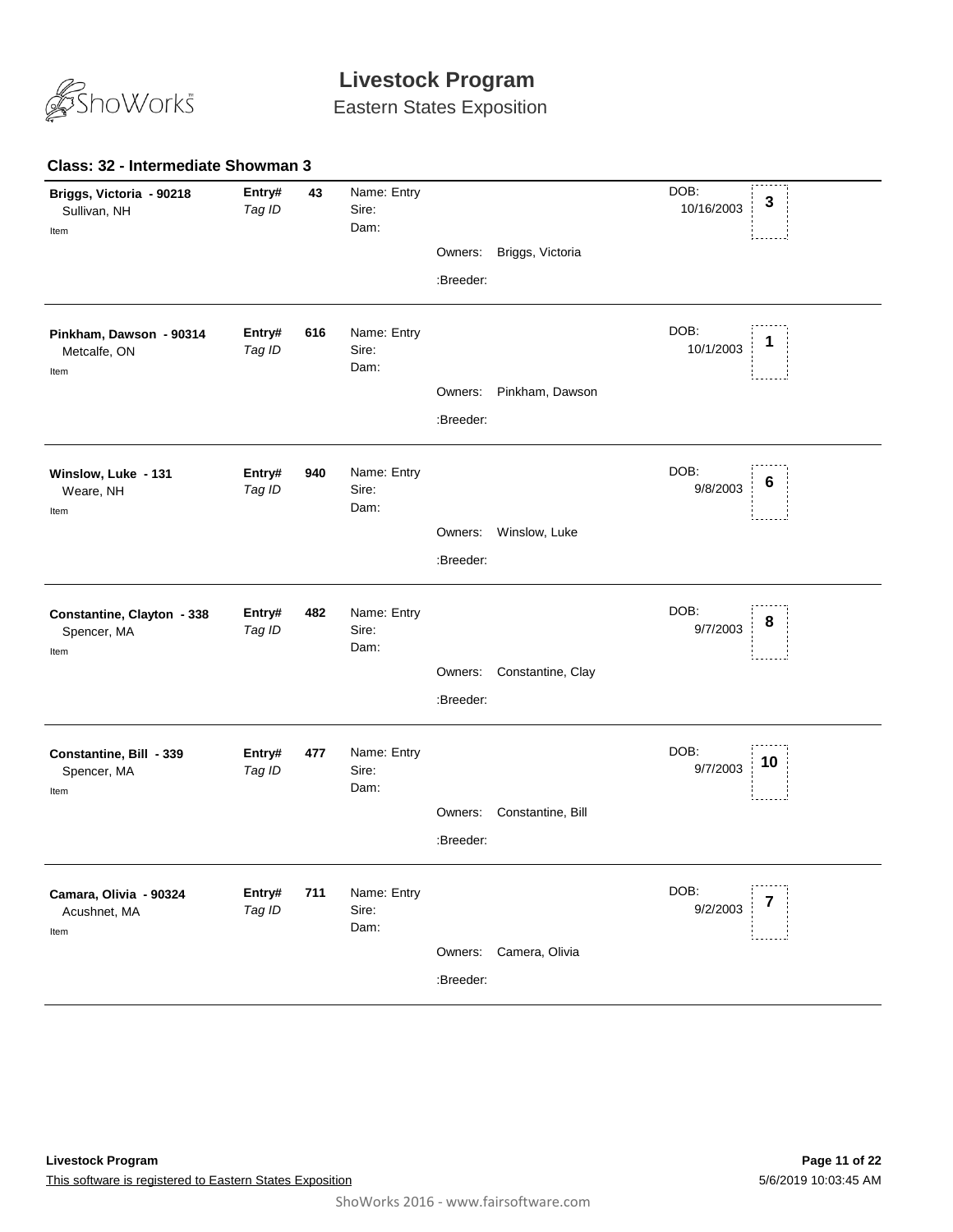

Eastern States Exposition

#### **43** *Tag ID* Name: Entry Sire: DOB: 10/16/2003 Dam: **Briggs, Victoria - 90218** Sullivan, NH **Entry# 43** Name: Entry DOB: 3<br>*Tag ID* Sire 10/16/2003 **3** Item Owners: Briggs, Victoria :Breeder: **616** *Tag ID* Name: Entry Sire: DOB: 10/1/2003 Dam: **Pinkham, Dawson - 90314** Metcalfe, ON **Entry# 616** Name: Entry<br>
Tag ID Sire: Sire: Sire: 10/1/2003 1 Item Owners: Pinkham, Dawson :Breeder: **940** *Tag ID* Name: Entry Sire: DOB: 9/8/2003 Dam: **Winslow, Luke - 131** Weare, NH **Entry# 940** Name: Entry DOB: 6<br>*Tag ID* Sire: 6 Item Owners: Winslow, Luke :Breeder: **482** *Tag ID* Name: Entry Sire: DOB: 9/7/2003 Dam: **Constantine, Clayton - 338** Spencer, MA **Entry# 482** Name: Entry<br>Tag ID Sire: Sire: Sire: Sire: Sire: Sire: Sire: Sire: Sire: Sire: Sire: Sire: Sire: Sire: Sire: Sire: Sire: S Item Owners: Constantine, Clay :Breeder: **477** *Tag ID* Name: Entry Sire: DOB: 9/7/2003 Dam: **Constantine, Bill - 339** Spencer, MA **Entry# 477** Name: Entry<br>Tog /D Siro: Siro: Siro: 2008: 2009: 2009: 2010 Item Owners: Constantine, Bill :Breeder: **711** *Tag ID* Name: Entry Sire: DOB: 9/2/2003 Dam: **Camara, Olivia - 90324** Acushnet, MA **Entry#** 711 Name: Entry<br>Teg ID Sire: Sire: Sire: 17 Item Owners: Camera, Olivia :Breeder:

#### **Class: 32 - Intermediate Showman 3**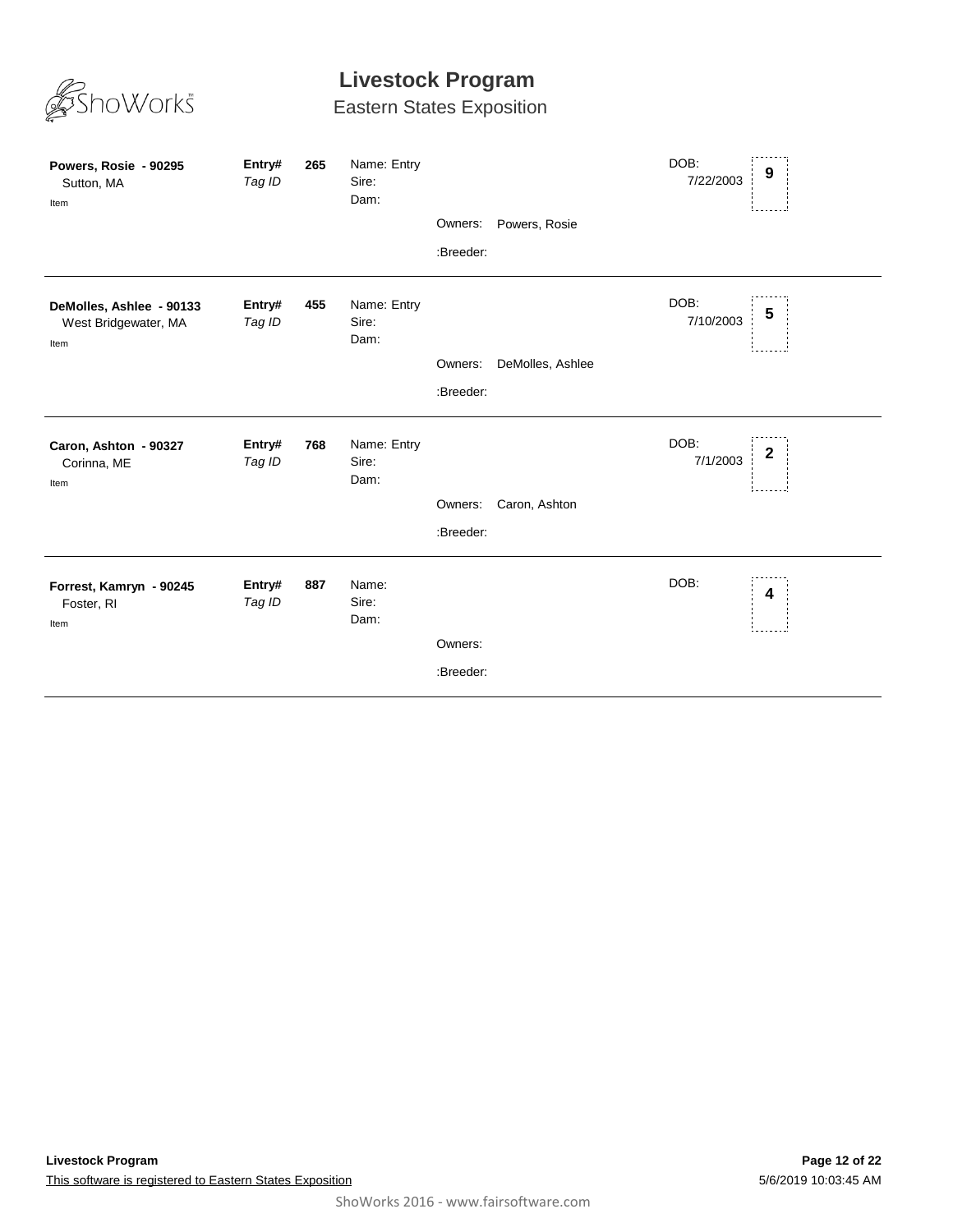

| Powers, Rosie - 90295<br>Sutton, MA<br>Item              | Entry#<br>Tag ID | 265 | Name: Entry<br>Sire:<br>Dam: | Owners:<br>:Breeder: | Powers, Rosie    | DOB:<br>7/22/2003 | 9                |
|----------------------------------------------------------|------------------|-----|------------------------------|----------------------|------------------|-------------------|------------------|
| DeMolles, Ashlee - 90133<br>West Bridgewater, MA<br>Item | Entry#<br>Tag ID | 455 | Name: Entry<br>Sire:<br>Dam: | Owners:<br>:Breeder: | DeMolles, Ashlee | DOB:<br>7/10/2003 | 5                |
| Caron, Ashton - 90327<br>Corinna, ME<br>Item             | Entry#<br>Tag ID | 768 | Name: Entry<br>Sire:<br>Dam: | Owners:<br>:Breeder: | Caron, Ashton    | DOB:<br>7/1/2003  | $\boldsymbol{2}$ |
| Forrest, Kamryn - 90245<br>Foster, RI<br>Item            | Entry#<br>Tag ID | 887 | Name:<br>Sire:<br>Dam:       | Owners:<br>:Breeder: |                  | DOB:              | 4                |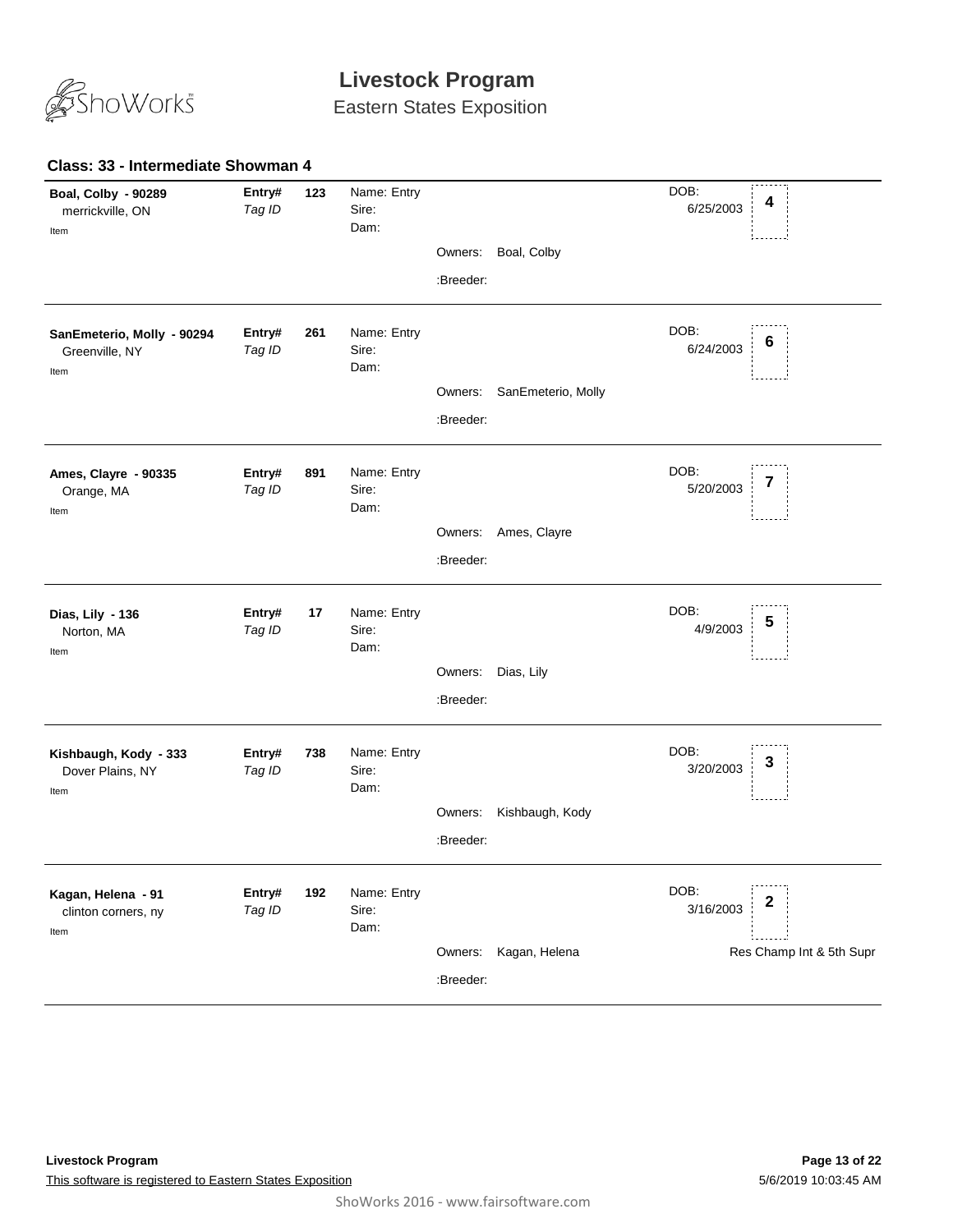

Eastern States Exposition

#### **123** *Tag ID* Name: Entry Sire: DOB: 6/25/2003 Dam: **Boal, Colby - 90289** merrickville, ON **Entry# <sup>4</sup>** Item Owners: Boal, Colby :Breeder: **261** *Tag ID* Name: Entry Sire: DOB: 6/24/2003 Dam: **SanEmeterio, Molly - 90294** Greenville, NY **Entry# 261** Name: Entry DOB: 6<br>*Tag ID* Sire: *6/24/2*003 **6** Item Owners: SanEmeterio, Molly :Breeder: **891** *Tag ID* Name: Entry Sire: DOB: 5/20/2003 Dam: **Ames, Clayre - 90335** Orange, MA **Entry# 891** Name: Entry DOB: 7<br>*Tag ID* Sire: 5/20/2003 **7** Item Owners: Ames, Clayre :Breeder: **17** *Tag ID* Name: Entry Sire: DOB: 4/9/2003 Dam: **Dias, Lily - 136** Norton, MA **Entry# 17** Name: Entry<br>
Tag ID Sire: Sire: Sire: 1/0/2003 5 Item Owners: Dias, Lily :Breeder: **738** *Tag ID* Name: Entry Sire: DOB: 3/20/2003 Dam: **Kishbaugh, Kody - 333** Dover Plains, NY **Entry# 738** Name: Entry<br>Tog ID Siro: Siro: Siro: 3 Item Owners: Kishbaugh, Kody :Breeder: **192** *Tag ID* Name: Entry Sire: DOB: 3/16/2003 Dam: **Kagan, Helena - 91** clinton corners, ny **Entry# 192** Name: Entry<br>Teg ID 3/16/2003 2 Res Champ Int & 5th Supr Item Owners: Kagan, Helena :Breeder:

### **Class: 33 - Intermediate Showman 4**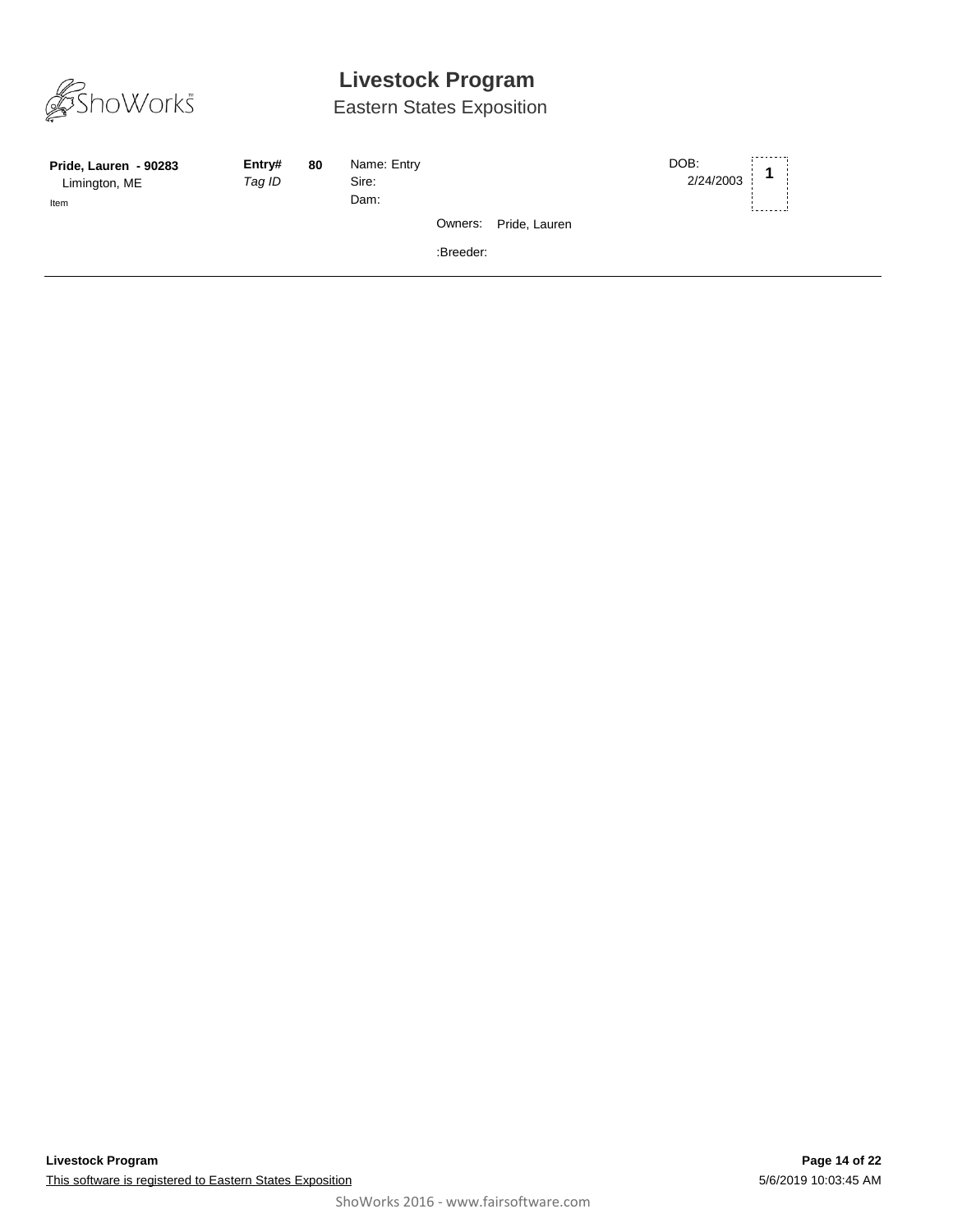

| Pride, Lauren - 90283<br>Limington, ME<br>Item | Entry#<br>Tag ID | 80 | Name: Entry<br>Sire:<br>Dam: |           |                       | DOB:<br>2/24/2003 |  |
|------------------------------------------------|------------------|----|------------------------------|-----------|-----------------------|-------------------|--|
|                                                |                  |    |                              |           | Owners: Pride, Lauren |                   |  |
|                                                |                  |    |                              | :Breeder: |                       |                   |  |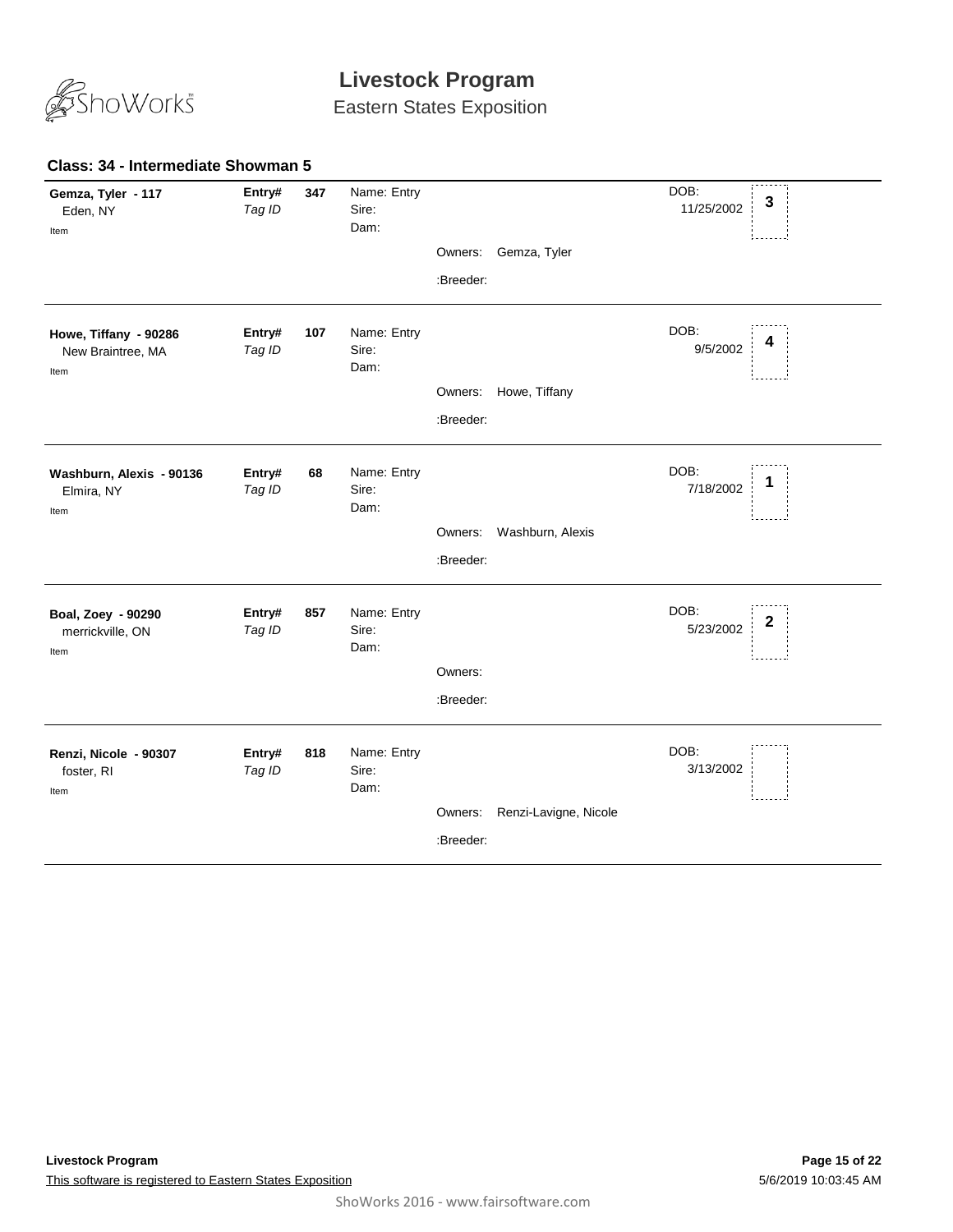

Eastern States Exposition

| Gemza, Tyler - 117<br>Eden, NY<br>Item             | Entry#<br>Tag ID | 347 | Name: Entry<br>Sire:<br>Dam: |           |                       | DOB:<br>3<br>11/25/2002           |  |
|----------------------------------------------------|------------------|-----|------------------------------|-----------|-----------------------|-----------------------------------|--|
|                                                    |                  |     |                              | Owners:   | Gemza, Tyler          |                                   |  |
|                                                    |                  |     |                              | :Breeder: |                       |                                   |  |
| Howe, Tiffany - 90286<br>New Braintree, MA<br>Item | Entry#<br>Tag ID | 107 | Name: Entry<br>Sire:<br>Dam: |           |                       | DOB:<br>4<br>9/5/2002             |  |
|                                                    |                  |     |                              |           | Owners: Howe, Tiffany |                                   |  |
|                                                    |                  |     |                              | :Breeder: |                       |                                   |  |
| Washburn, Alexis - 90136<br>Elmira, NY<br>Item     | Entry#<br>Tag ID | 68  | Name: Entry<br>Sire:<br>Dam: |           |                       | DOB:<br>1<br>7/18/2002            |  |
|                                                    |                  |     |                              | Owners:   | Washburn, Alexis      |                                   |  |
|                                                    |                  |     |                              | :Breeder: |                       |                                   |  |
| Boal, Zoey - 90290<br>merrickville, ON<br>Item     | Entry#<br>Tag ID | 857 | Name: Entry<br>Sire:<br>Dam: |           |                       | DOB:<br>$\mathbf{2}$<br>5/23/2002 |  |
|                                                    |                  |     |                              | Owners:   |                       |                                   |  |
|                                                    |                  |     |                              | :Breeder: |                       |                                   |  |
| Renzi, Nicole - 90307<br>foster, RI<br>Item        | Entry#<br>Tag ID | 818 | Name: Entry<br>Sire:<br>Dam: |           |                       | DOB:<br>3/13/2002                 |  |
|                                                    |                  |     |                              | Owners:   | Renzi-Lavigne, Nicole |                                   |  |
|                                                    |                  |     |                              | :Breeder: |                       |                                   |  |

### **Class: 34 - Intermediate Showman 5**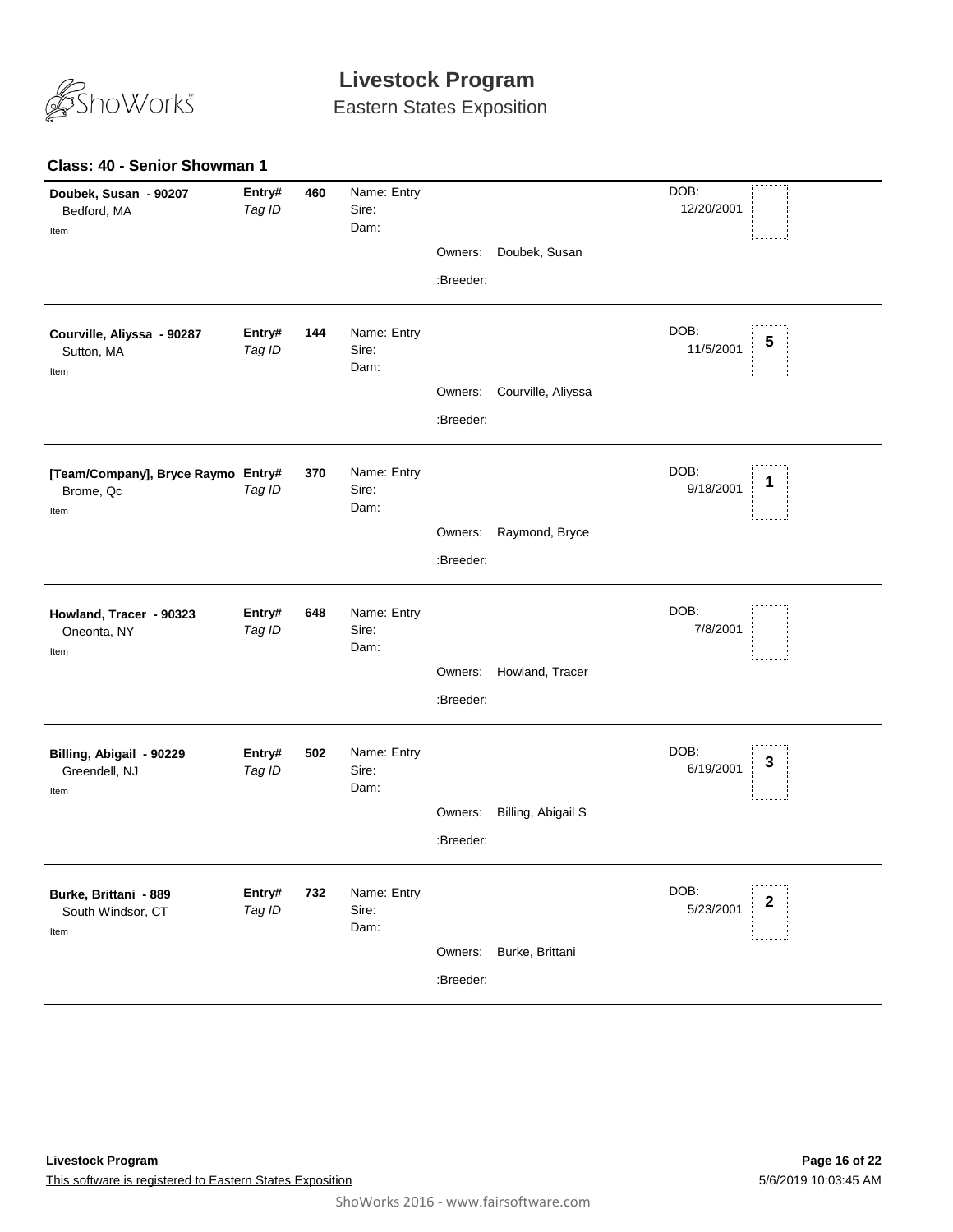

Eastern States Exposition

### **Class: 40 - Senior Showman 1**

| Doubek, Susan - 90207<br>Bedford, MA<br>Item            | Entry#<br>Tag ID | 460 | Name: Entry<br>Sire:<br>Dam: |           |                    | DOB:<br>12/20/2001               |
|---------------------------------------------------------|------------------|-----|------------------------------|-----------|--------------------|----------------------------------|
|                                                         |                  |     |                              | Owners:   | Doubek, Susan      |                                  |
|                                                         |                  |     |                              | :Breeder: |                    |                                  |
| Courville, Aliyssa - 90287<br>Sutton, MA<br>Item        | Entry#<br>Tag ID | 144 | Name: Entry<br>Sire:<br>Dam: |           |                    | DOB:<br>5<br>11/5/2001           |
|                                                         |                  |     |                              | Owners:   | Courville, Aliyssa |                                  |
|                                                         |                  |     |                              | :Breeder: |                    |                                  |
| [Team/Company], Bryce Raymo Entry#<br>Brome, Qc<br>Item | Tag ID           | 370 | Name: Entry<br>Sire:<br>Dam: |           |                    | DOB:<br>9/18/2001                |
|                                                         |                  |     |                              | Owners:   | Raymond, Bryce     |                                  |
|                                                         |                  |     |                              | :Breeder: |                    |                                  |
| Howland, Tracer - 90323<br>Oneonta, NY<br>Item          | Entry#<br>Tag ID | 648 | Name: Entry<br>Sire:<br>Dam: |           |                    | DOB:<br>7/8/2001                 |
|                                                         |                  |     |                              | Owners:   | Howland, Tracer    |                                  |
|                                                         |                  |     |                              | :Breeder: |                    |                                  |
| Billing, Abigail - 90229<br>Greendell, NJ<br>Item       | Entry#<br>Tag ID | 502 | Name: Entry<br>Sire:<br>Dam: |           |                    | DOB:<br>3<br>6/19/2001           |
|                                                         |                  |     |                              | Owners:   | Billing, Abigail S |                                  |
|                                                         |                  |     |                              | :Breeder: |                    |                                  |
| Burke, Brittani - 889<br>South Windsor, CT<br>Item      | Entry#<br>Tag ID | 732 | Name: Entry<br>Sire:<br>Dam: |           |                    | DOB:<br>$\mathbf 2$<br>5/23/2001 |
|                                                         |                  |     |                              | Owners:   | Burke, Brittani    |                                  |
|                                                         |                  |     |                              | :Breeder: |                    |                                  |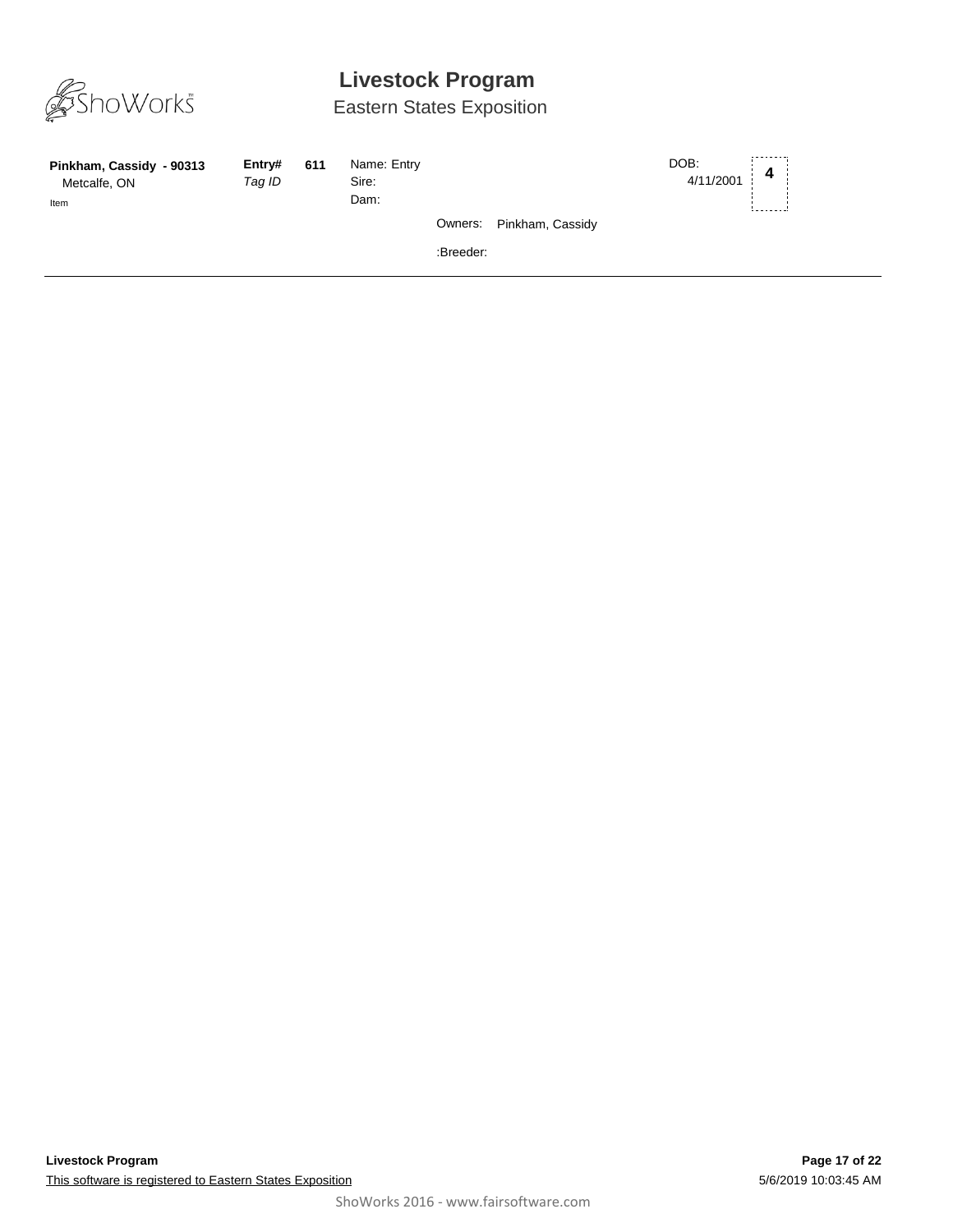

| Pinkham, Cassidy - 90313<br>Metcalfe, ON<br>Item | Entry#<br>Tag ID | 611 | Name: Entry<br>Sire:<br>Dam: |           |                          | DOB:<br>4/11/2001 | 4 |  |
|--------------------------------------------------|------------------|-----|------------------------------|-----------|--------------------------|-------------------|---|--|
|                                                  |                  |     |                              |           | Owners: Pinkham, Cassidy |                   |   |  |
|                                                  |                  |     |                              | :Breeder: |                          |                   |   |  |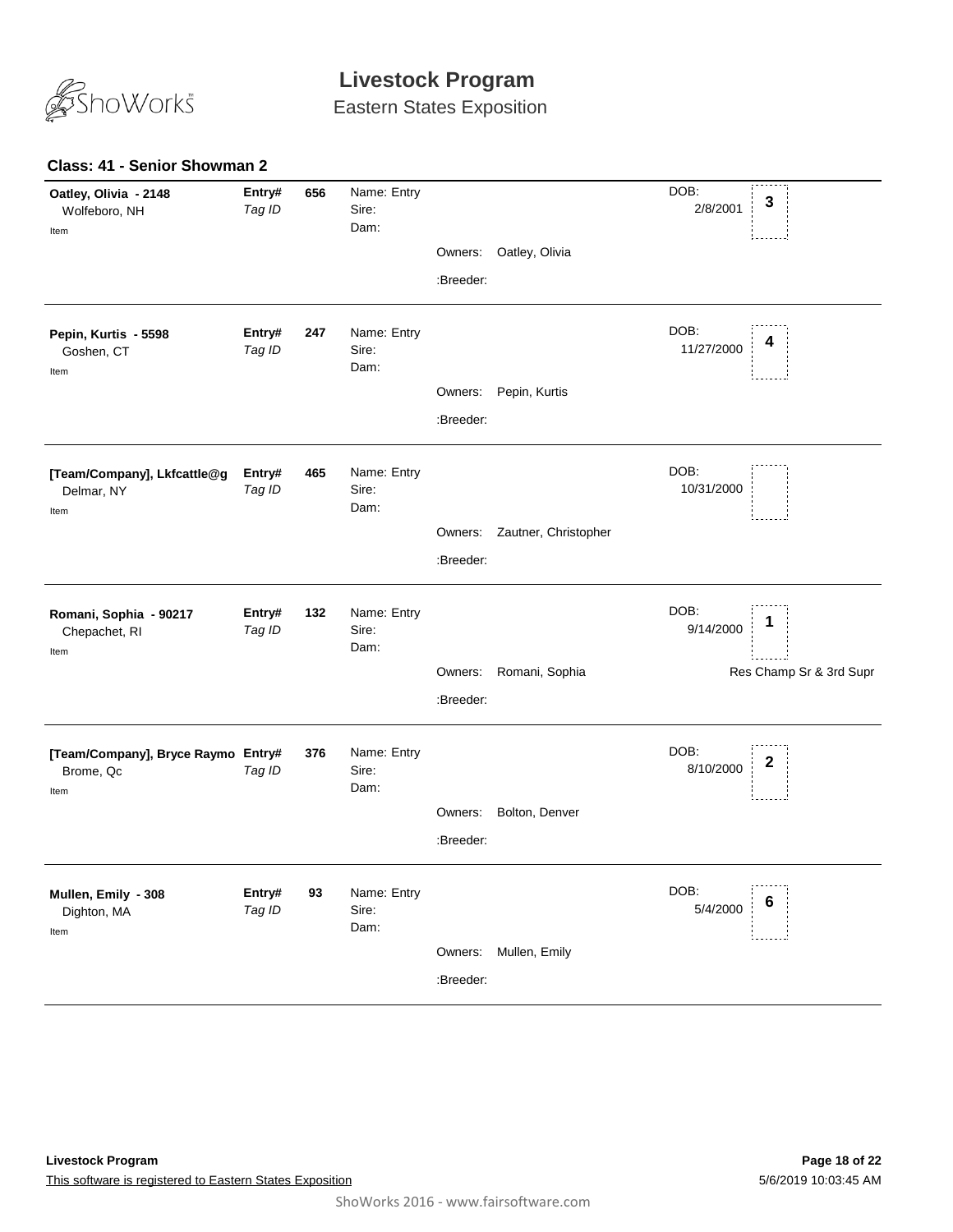

Eastern States Exposition

### **Class: 41 - Senior Showman 2**

| Entry#<br>Tag ID                             | 656 | Name: Entry<br>Sire:<br>Dam: |           |                      | DOB:<br>2/8/2001   | $\mathbf 3$             |
|----------------------------------------------|-----|------------------------------|-----------|----------------------|--------------------|-------------------------|
|                                              |     |                              | Owners:   | Oatley, Olivia       |                    |                         |
|                                              |     |                              | :Breeder: |                      |                    |                         |
| Entry#<br>Tag ID                             | 247 | Name: Entry<br>Sire:<br>Dam: |           |                      | DOB:<br>11/27/2000 | 4                       |
|                                              |     |                              | Owners:   | Pepin, Kurtis        |                    |                         |
|                                              |     |                              | :Breeder: |                      |                    |                         |
| Entry#<br>Tag ID                             | 465 | Name: Entry<br>Sire:<br>Dam: |           |                      | DOB:<br>10/31/2000 |                         |
|                                              |     |                              | Owners:   | Zautner, Christopher |                    |                         |
|                                              |     |                              | :Breeder: |                      |                    |                         |
| Entry#<br>Tag ID                             | 132 | Name: Entry<br>Sire:<br>Dam: |           |                      | DOB:<br>9/14/2000  |                         |
|                                              |     |                              | Owners:   | Romani, Sophia       |                    | Res Champ Sr & 3rd Supr |
|                                              |     |                              | :Breeder: |                      |                    |                         |
| [Team/Company], Bryce Raymo Entry#<br>Tag ID | 376 | Name: Entry<br>Sire:<br>Dam: |           |                      | DOB:<br>8/10/2000  | 2                       |
|                                              |     |                              | Owners:   | Bolton, Denver       |                    |                         |
|                                              |     |                              | :Breeder: |                      |                    |                         |
| Entry#<br>Tag ID                             | 93  | Name: Entry<br>Sire:<br>Dam: |           |                      | DOB:<br>5/4/2000   | 6                       |
|                                              |     |                              | Owners:   | Mullen, Emily        |                    |                         |
|                                              |     |                              | :Breeder: |                      |                    |                         |
|                                              |     |                              |           |                      |                    |                         |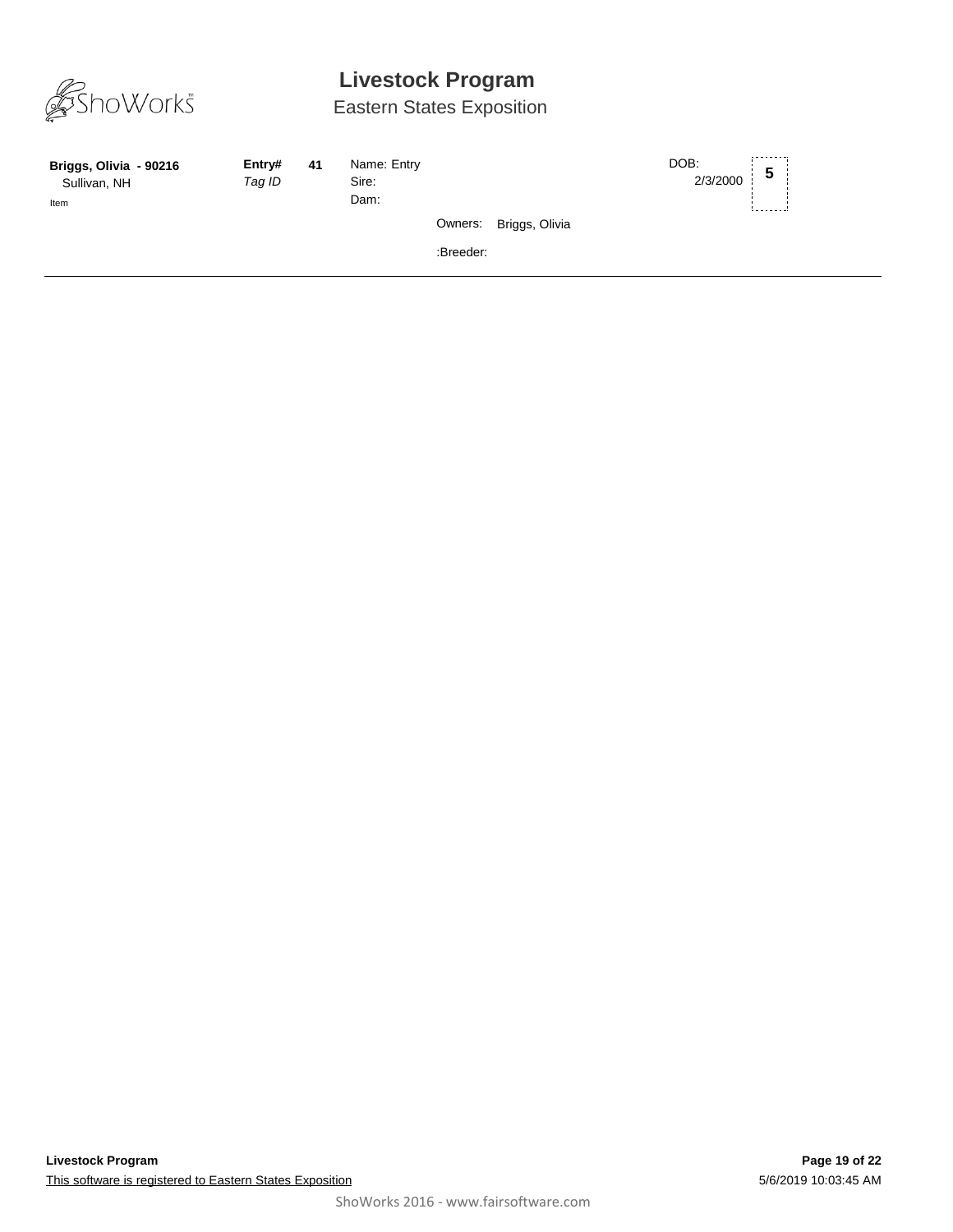

| Briggs, Olivia - 90216<br>Sullivan, NH<br>Item | Entry#<br>Tag ID | 41 | Name: Entry<br>Sire:<br>Dam: |           |                        | DOB:<br>2/3/2000 | 5 |
|------------------------------------------------|------------------|----|------------------------------|-----------|------------------------|------------------|---|
|                                                |                  |    |                              |           | Owners: Briggs, Olivia |                  |   |
|                                                |                  |    |                              | :Breeder: |                        |                  |   |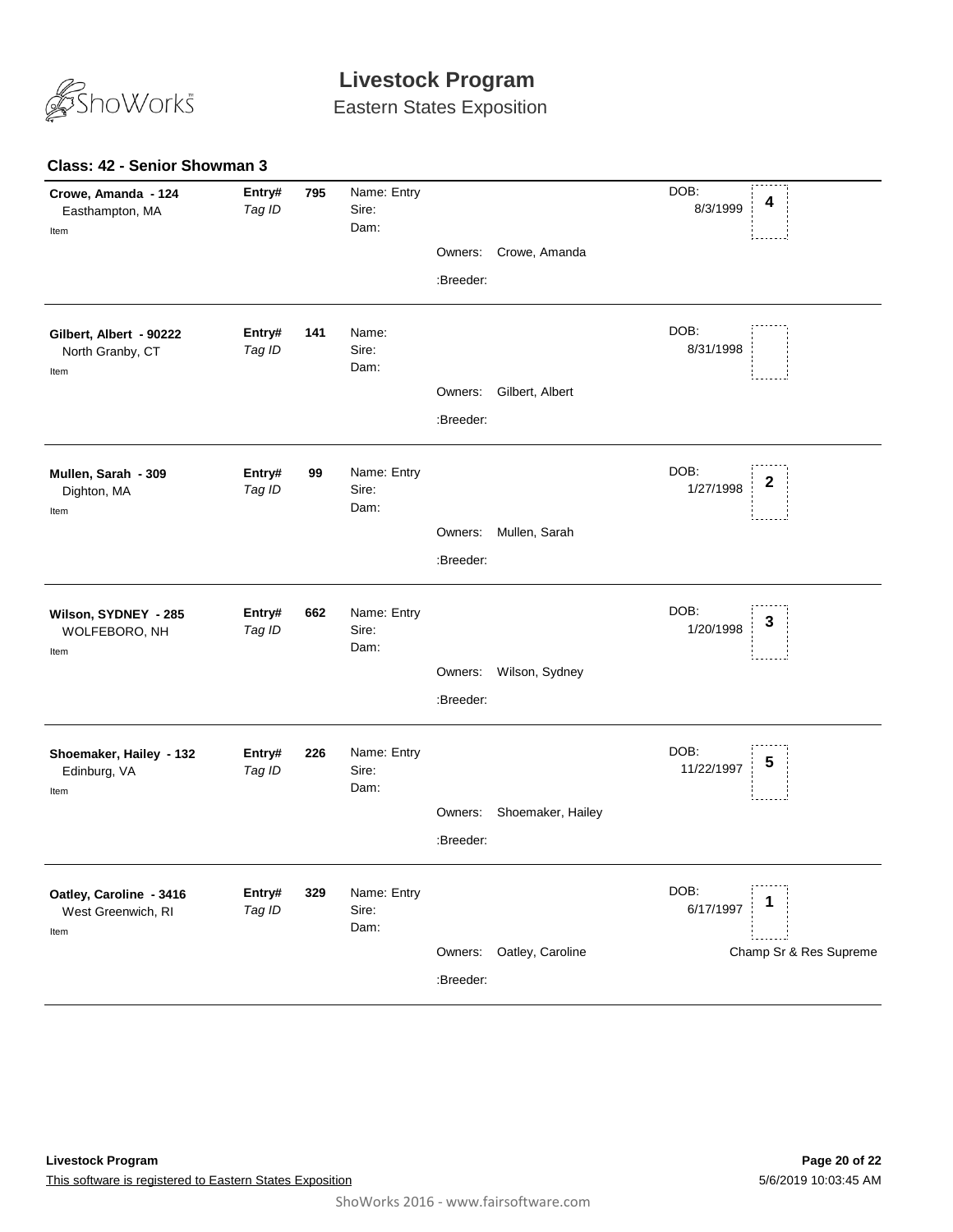

Eastern States Exposition

### **Class: 42 - Senior Showman 3**

| Crowe, Amanda<br>Owners:<br>:Breeder:<br>DOB:<br>Entry#<br>Name:<br>Gilbert, Albert - 90222<br>141<br>8/31/1998<br>Sire:<br>Tag ID<br>North Granby, CT<br>Dam:<br>Item<br>Gilbert, Albert<br>Owners:<br>:Breeder:<br>DOB:<br>Name: Entry<br>Entry#<br>99<br>Mullen, Sarah - 309<br>2<br>1/27/1998<br>Sire:<br>Tag ID<br>Dighton, MA<br>Dam:<br>Item<br>Mullen, Sarah<br>Owners:<br>:Breeder:<br>DOB:<br>Name: Entry<br>Wilson, SYDNEY - 285<br>Entry#<br>662<br>3<br>1/20/1998<br>Sire:<br>Tag ID<br>WOLFEBORO, NH<br>Dam:<br>Item<br>Owners:<br>Wilson, Sydney<br>:Breeder:<br>DOB:<br>Name: Entry<br>Entry#<br>226<br>Shoemaker, Hailey - 132<br>5<br>11/22/1997<br>Sire:<br>Tag ID<br>Edinburg, VA<br>Dam:<br>Item<br>Shoemaker, Hailey<br>Owners:<br>:Breeder:<br>DOB:<br>Name: Entry<br>Entry#<br>329<br>Oatley, Caroline - 3416<br>1<br>6/17/1997<br>Tag ID<br>Sire:<br>West Greenwich, RI<br>Dam:<br>Item<br>Oatley, Caroline<br>Champ Sr & Res Supreme<br>Owners:<br>:Breeder: | Crowe, Amanda - 124<br>Easthampton, MA<br>Item | Entry#<br>Tag ID | 795 | Name: Entry<br>Sire:<br>Dam: |  | DOB:<br>4<br>8/3/1999 |
|----------------------------------------------------------------------------------------------------------------------------------------------------------------------------------------------------------------------------------------------------------------------------------------------------------------------------------------------------------------------------------------------------------------------------------------------------------------------------------------------------------------------------------------------------------------------------------------------------------------------------------------------------------------------------------------------------------------------------------------------------------------------------------------------------------------------------------------------------------------------------------------------------------------------------------------------------------------------------------------|------------------------------------------------|------------------|-----|------------------------------|--|-----------------------|
|                                                                                                                                                                                                                                                                                                                                                                                                                                                                                                                                                                                                                                                                                                                                                                                                                                                                                                                                                                                        |                                                |                  |     |                              |  |                       |
|                                                                                                                                                                                                                                                                                                                                                                                                                                                                                                                                                                                                                                                                                                                                                                                                                                                                                                                                                                                        |                                                |                  |     |                              |  |                       |
|                                                                                                                                                                                                                                                                                                                                                                                                                                                                                                                                                                                                                                                                                                                                                                                                                                                                                                                                                                                        |                                                |                  |     |                              |  |                       |
|                                                                                                                                                                                                                                                                                                                                                                                                                                                                                                                                                                                                                                                                                                                                                                                                                                                                                                                                                                                        |                                                |                  |     |                              |  |                       |
|                                                                                                                                                                                                                                                                                                                                                                                                                                                                                                                                                                                                                                                                                                                                                                                                                                                                                                                                                                                        |                                                |                  |     |                              |  |                       |
|                                                                                                                                                                                                                                                                                                                                                                                                                                                                                                                                                                                                                                                                                                                                                                                                                                                                                                                                                                                        |                                                |                  |     |                              |  |                       |
|                                                                                                                                                                                                                                                                                                                                                                                                                                                                                                                                                                                                                                                                                                                                                                                                                                                                                                                                                                                        |                                                |                  |     |                              |  |                       |
|                                                                                                                                                                                                                                                                                                                                                                                                                                                                                                                                                                                                                                                                                                                                                                                                                                                                                                                                                                                        |                                                |                  |     |                              |  |                       |
|                                                                                                                                                                                                                                                                                                                                                                                                                                                                                                                                                                                                                                                                                                                                                                                                                                                                                                                                                                                        |                                                |                  |     |                              |  |                       |
|                                                                                                                                                                                                                                                                                                                                                                                                                                                                                                                                                                                                                                                                                                                                                                                                                                                                                                                                                                                        |                                                |                  |     |                              |  |                       |
|                                                                                                                                                                                                                                                                                                                                                                                                                                                                                                                                                                                                                                                                                                                                                                                                                                                                                                                                                                                        |                                                |                  |     |                              |  |                       |
|                                                                                                                                                                                                                                                                                                                                                                                                                                                                                                                                                                                                                                                                                                                                                                                                                                                                                                                                                                                        |                                                |                  |     |                              |  |                       |
|                                                                                                                                                                                                                                                                                                                                                                                                                                                                                                                                                                                                                                                                                                                                                                                                                                                                                                                                                                                        |                                                |                  |     |                              |  |                       |
|                                                                                                                                                                                                                                                                                                                                                                                                                                                                                                                                                                                                                                                                                                                                                                                                                                                                                                                                                                                        |                                                |                  |     |                              |  |                       |
|                                                                                                                                                                                                                                                                                                                                                                                                                                                                                                                                                                                                                                                                                                                                                                                                                                                                                                                                                                                        |                                                |                  |     |                              |  |                       |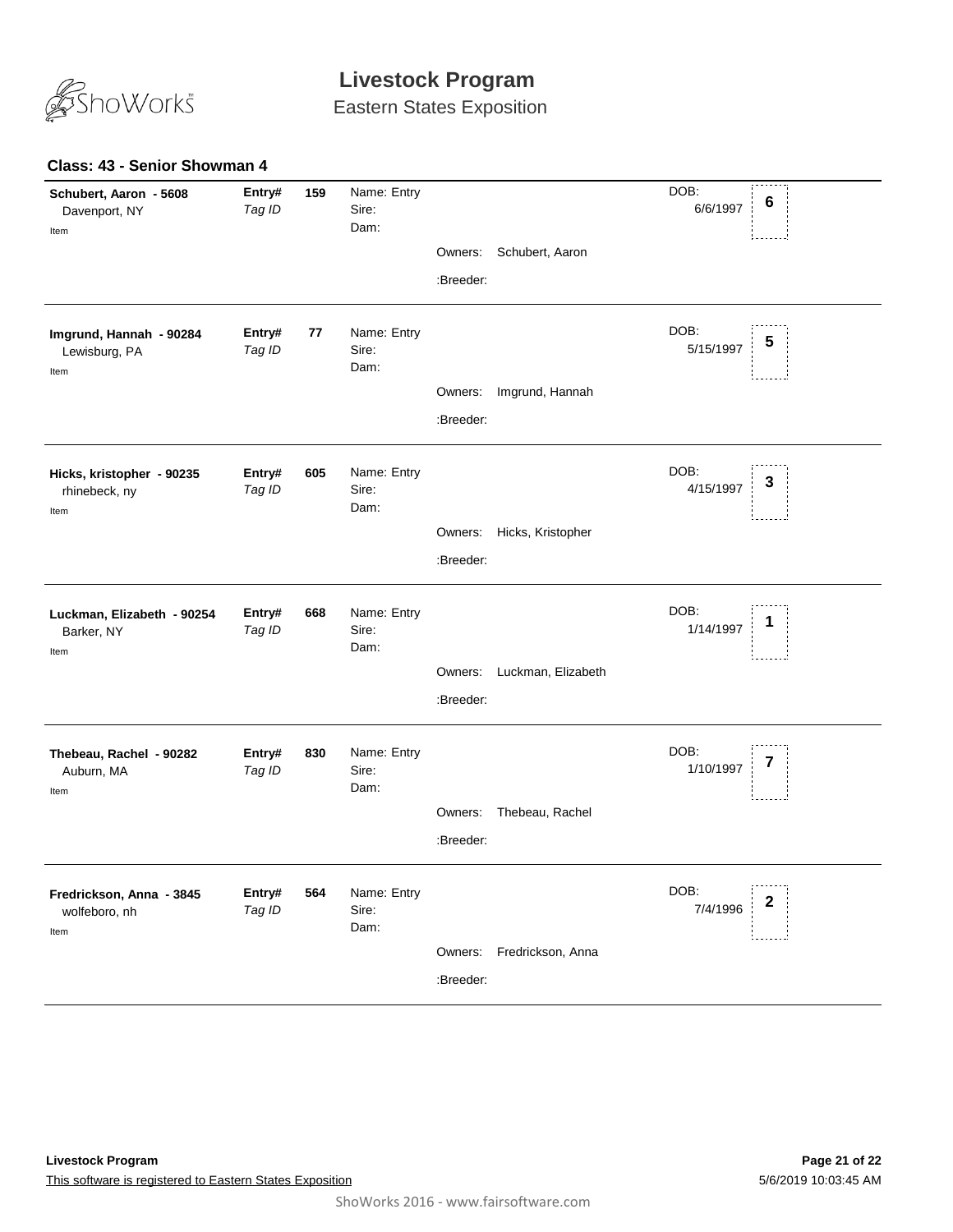

Eastern States Exposition

### **Class: 43 - Senior Showman 4**

| Schubert, Aaron - 5608<br>Davenport, NY<br>Item    | Entry#<br>Tag ID | 159 | Name: Entry<br>Sire:<br>Dam: | Owners:   | Schubert, Aaron           | DOB:<br>6/6/1997  | 6 |
|----------------------------------------------------|------------------|-----|------------------------------|-----------|---------------------------|-------------------|---|
|                                                    |                  |     |                              | :Breeder: |                           |                   |   |
| Imgrund, Hannah - 90284<br>Lewisburg, PA<br>Item   | Entry#<br>Tag ID | 77  | Name: Entry<br>Sire:<br>Dam: |           |                           | DOB:<br>5/15/1997 | 5 |
|                                                    |                  |     |                              | Owners:   | Imgrund, Hannah           |                   |   |
|                                                    |                  |     |                              | :Breeder: |                           |                   |   |
| Hicks, kristopher - 90235<br>rhinebeck, ny<br>Item | Entry#<br>Tag ID | 605 | Name: Entry<br>Sire:<br>Dam: |           |                           | DOB:<br>4/15/1997 | 3 |
|                                                    |                  |     |                              | Owners:   | Hicks, Kristopher         |                   |   |
|                                                    |                  |     |                              | :Breeder: |                           |                   |   |
| Luckman, Elizabeth - 90254<br>Barker, NY<br>Item   | Entry#<br>Tag ID | 668 | Name: Entry<br>Sire:<br>Dam: |           |                           | DOB:<br>1/14/1997 | 1 |
|                                                    |                  |     |                              | Owners:   | Luckman, Elizabeth        |                   |   |
|                                                    |                  |     |                              | :Breeder: |                           |                   |   |
| Thebeau, Rachel - 90282<br>Auburn, MA<br>Item      | Entry#<br>Tag ID | 830 | Name: Entry<br>Sire:<br>Dam: |           |                           | DOB:<br>1/10/1997 | 7 |
|                                                    |                  |     |                              | Owners:   | Thebeau, Rachel           |                   |   |
|                                                    |                  |     |                              | :Breeder: |                           |                   |   |
| Fredrickson, Anna - 3845<br>wolfeboro, nh<br>Item  | Entry#<br>Tag ID | 564 | Name: Entry<br>Sire:<br>Dam: |           |                           | DOB:<br>7/4/1996  | 2 |
|                                                    |                  |     |                              |           | Owners: Fredrickson, Anna |                   |   |
|                                                    |                  |     |                              | :Breeder: |                           |                   |   |